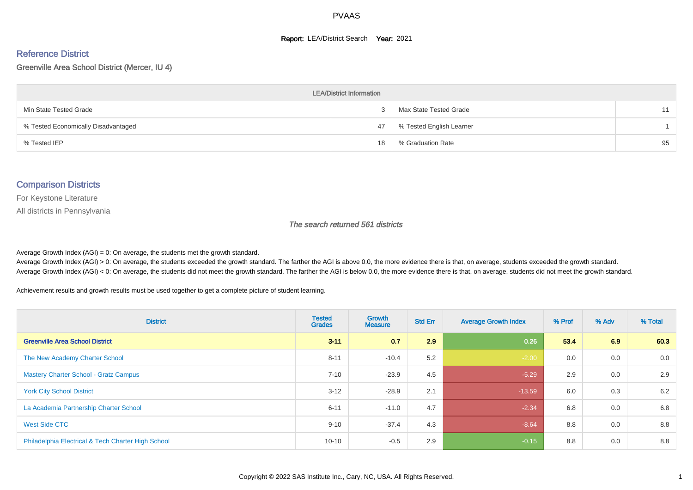#### **Report: LEA/District Search Year: 2021**

# Reference District

#### Greenville Area School District (Mercer, IU 4)

| <b>LEA/District Information</b>     |    |                          |    |  |  |  |  |  |  |  |
|-------------------------------------|----|--------------------------|----|--|--|--|--|--|--|--|
| Min State Tested Grade              |    | Max State Tested Grade   | 11 |  |  |  |  |  |  |  |
| % Tested Economically Disadvantaged | 47 | % Tested English Learner |    |  |  |  |  |  |  |  |
| % Tested IEP                        | 18 | % Graduation Rate        | 95 |  |  |  |  |  |  |  |

#### Comparison Districts

For Keystone Literature

All districts in Pennsylvania

The search returned 561 districts

Average Growth Index  $(AGI) = 0$ : On average, the students met the growth standard.

Average Growth Index (AGI) > 0: On average, the students exceeded the growth standard. The farther the AGI is above 0.0, the more evidence there is that, on average, students exceeded the growth standard. Average Growth Index (AGI) < 0: On average, the students did not meet the growth standard. The farther the AGI is below 0.0, the more evidence there is that, on average, students did not meet the growth standard.

Achievement results and growth results must be used together to get a complete picture of student learning.

| <b>District</b>                                    | <b>Tested</b><br><b>Grades</b> | <b>Growth</b><br><b>Measure</b> | <b>Std Err</b> | <b>Average Growth Index</b> | % Prof | % Adv | % Total |
|----------------------------------------------------|--------------------------------|---------------------------------|----------------|-----------------------------|--------|-------|---------|
| <b>Greenville Area School District</b>             | $3 - 11$                       | 0.7                             | 2.9            | 0.26                        | 53.4   | 6.9   | 60.3    |
| The New Academy Charter School                     | $8 - 11$                       | $-10.4$                         | 5.2            | $-2.00$                     | 0.0    | 0.0   | 0.0     |
| <b>Mastery Charter School - Gratz Campus</b>       | $7 - 10$                       | $-23.9$                         | 4.5            | $-5.29$                     | 2.9    | 0.0   | 2.9     |
| <b>York City School District</b>                   | $3 - 12$                       | $-28.9$                         | 2.1            | $-13.59$                    | 6.0    | 0.3   | 6.2     |
| La Academia Partnership Charter School             | $6 - 11$                       | $-11.0$                         | 4.7            | $-2.34$                     | 6.8    | 0.0   | 6.8     |
| West Side CTC                                      | $9 - 10$                       | $-37.4$                         | 4.3            | $-8.64$                     | 8.8    | 0.0   | 8.8     |
| Philadelphia Electrical & Tech Charter High School | $10 - 10$                      | $-0.5$                          | 2.9            | $-0.15$                     | 8.8    | 0.0   | 8.8     |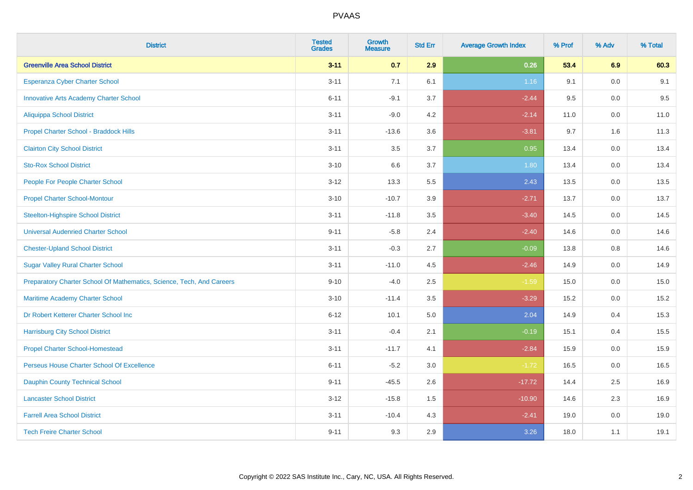| <b>District</b>                                                       | <b>Tested</b><br><b>Grades</b> | <b>Growth</b><br><b>Measure</b> | <b>Std Err</b> | <b>Average Growth Index</b> | % Prof | % Adv   | % Total |
|-----------------------------------------------------------------------|--------------------------------|---------------------------------|----------------|-----------------------------|--------|---------|---------|
| <b>Greenville Area School District</b>                                | $3 - 11$                       | 0.7                             | 2.9            | 0.26                        | 53.4   | 6.9     | 60.3    |
| Esperanza Cyber Charter School                                        | $3 - 11$                       | 7.1                             | 6.1            | 1.16                        | 9.1    | 0.0     | 9.1     |
| <b>Innovative Arts Academy Charter School</b>                         | $6 - 11$                       | $-9.1$                          | 3.7            | $-2.44$                     | 9.5    | 0.0     | 9.5     |
| <b>Aliquippa School District</b>                                      | $3 - 11$                       | $-9.0$                          | 4.2            | $-2.14$                     | 11.0   | $0.0\,$ | 11.0    |
| Propel Charter School - Braddock Hills                                | $3 - 11$                       | $-13.6$                         | 3.6            | $-3.81$                     | 9.7    | 1.6     | 11.3    |
| <b>Clairton City School District</b>                                  | $3 - 11$                       | 3.5                             | 3.7            | 0.95                        | 13.4   | 0.0     | 13.4    |
| <b>Sto-Rox School District</b>                                        | $3 - 10$                       | 6.6                             | 3.7            | 1.80                        | 13.4   | 0.0     | 13.4    |
| People For People Charter School                                      | $3 - 12$                       | 13.3                            | 5.5            | 2.43                        | 13.5   | 0.0     | 13.5    |
| <b>Propel Charter School-Montour</b>                                  | $3 - 10$                       | $-10.7$                         | 3.9            | $-2.71$                     | 13.7   | 0.0     | 13.7    |
| <b>Steelton-Highspire School District</b>                             | $3 - 11$                       | $-11.8$                         | 3.5            | $-3.40$                     | 14.5   | 0.0     | 14.5    |
| <b>Universal Audenried Charter School</b>                             | $9 - 11$                       | $-5.8$                          | 2.4            | $-2.40$                     | 14.6   | 0.0     | 14.6    |
| <b>Chester-Upland School District</b>                                 | $3 - 11$                       | $-0.3$                          | 2.7            | $-0.09$                     | 13.8   | 0.8     | 14.6    |
| <b>Sugar Valley Rural Charter School</b>                              | $3 - 11$                       | $-11.0$                         | 4.5            | $-2.46$                     | 14.9   | 0.0     | 14.9    |
| Preparatory Charter School Of Mathematics, Science, Tech, And Careers | $9 - 10$                       | $-4.0$                          | 2.5            | $-1.59$                     | 15.0   | $0.0\,$ | 15.0    |
| Maritime Academy Charter School                                       | $3 - 10$                       | $-11.4$                         | 3.5            | $-3.29$                     | 15.2   | 0.0     | 15.2    |
| Dr Robert Ketterer Charter School Inc                                 | $6 - 12$                       | 10.1                            | 5.0            | 2.04                        | 14.9   | 0.4     | 15.3    |
| <b>Harrisburg City School District</b>                                | $3 - 11$                       | $-0.4$                          | 2.1            | $-0.19$                     | 15.1   | 0.4     | 15.5    |
| <b>Propel Charter School-Homestead</b>                                | $3 - 11$                       | $-11.7$                         | 4.1            | $-2.84$                     | 15.9   | 0.0     | 15.9    |
| Perseus House Charter School Of Excellence                            | $6 - 11$                       | $-5.2$                          | 3.0            | $-1.72$                     | 16.5   | $0.0\,$ | 16.5    |
| <b>Dauphin County Technical School</b>                                | $9 - 11$                       | $-45.5$                         | 2.6            | $-17.72$                    | 14.4   | 2.5     | 16.9    |
| <b>Lancaster School District</b>                                      | $3 - 12$                       | $-15.8$                         | 1.5            | $-10.90$                    | 14.6   | 2.3     | 16.9    |
| <b>Farrell Area School District</b>                                   | $3 - 11$                       | $-10.4$                         | 4.3            | $-2.41$                     | 19.0   | $0.0\,$ | 19.0    |
| <b>Tech Freire Charter School</b>                                     | $9 - 11$                       | 9.3                             | 2.9            | 3.26                        | 18.0   | 1.1     | 19.1    |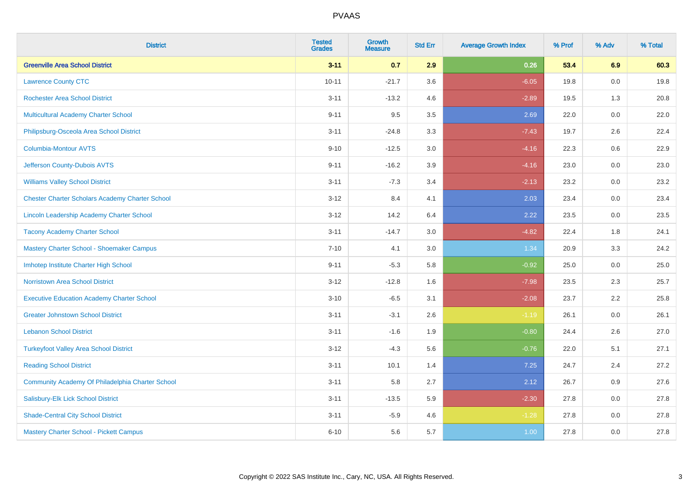| <b>District</b>                                        | <b>Tested</b><br><b>Grades</b> | <b>Growth</b><br><b>Measure</b> | <b>Std Err</b> | <b>Average Growth Index</b> | % Prof | % Adv   | % Total |
|--------------------------------------------------------|--------------------------------|---------------------------------|----------------|-----------------------------|--------|---------|---------|
| <b>Greenville Area School District</b>                 | $3 - 11$                       | 0.7                             | 2.9            | 0.26                        | 53.4   | 6.9     | 60.3    |
| <b>Lawrence County CTC</b>                             | $10 - 11$                      | $-21.7$                         | 3.6            | $-6.05$                     | 19.8   | 0.0     | 19.8    |
| <b>Rochester Area School District</b>                  | $3 - 11$                       | $-13.2$                         | 4.6            | $-2.89$                     | 19.5   | 1.3     | 20.8    |
| Multicultural Academy Charter School                   | $9 - 11$                       | 9.5                             | 3.5            | 2.69                        | 22.0   | 0.0     | 22.0    |
| Philipsburg-Osceola Area School District               | $3 - 11$                       | $-24.8$                         | 3.3            | $-7.43$                     | 19.7   | 2.6     | 22.4    |
| <b>Columbia-Montour AVTS</b>                           | $9 - 10$                       | $-12.5$                         | 3.0            | $-4.16$                     | 22.3   | 0.6     | 22.9    |
| Jefferson County-Dubois AVTS                           | $9 - 11$                       | $-16.2$                         | 3.9            | $-4.16$                     | 23.0   | 0.0     | 23.0    |
| <b>Williams Valley School District</b>                 | $3 - 11$                       | $-7.3$                          | 3.4            | $-2.13$                     | 23.2   | 0.0     | 23.2    |
| <b>Chester Charter Scholars Academy Charter School</b> | $3 - 12$                       | 8.4                             | 4.1            | 2.03                        | 23.4   | 0.0     | 23.4    |
| <b>Lincoln Leadership Academy Charter School</b>       | $3 - 12$                       | 14.2                            | 6.4            | 2.22                        | 23.5   | 0.0     | 23.5    |
| <b>Tacony Academy Charter School</b>                   | $3 - 11$                       | $-14.7$                         | 3.0            | $-4.82$                     | 22.4   | 1.8     | 24.1    |
| Mastery Charter School - Shoemaker Campus              | $7 - 10$                       | 4.1                             | 3.0            | 1.34                        | 20.9   | 3.3     | 24.2    |
| Imhotep Institute Charter High School                  | $9 - 11$                       | $-5.3$                          | 5.8            | $-0.92$                     | 25.0   | $0.0\,$ | 25.0    |
| <b>Norristown Area School District</b>                 | $3 - 12$                       | $-12.8$                         | 1.6            | $-7.98$                     | 23.5   | 2.3     | 25.7    |
| <b>Executive Education Academy Charter School</b>      | $3 - 10$                       | $-6.5$                          | 3.1            | $-2.08$                     | 23.7   | 2.2     | 25.8    |
| <b>Greater Johnstown School District</b>               | $3 - 11$                       | $-3.1$                          | 2.6            | $-1.19$                     | 26.1   | $0.0\,$ | 26.1    |
| <b>Lebanon School District</b>                         | $3 - 11$                       | $-1.6$                          | 1.9            | $-0.80$                     | 24.4   | 2.6     | 27.0    |
| <b>Turkeyfoot Valley Area School District</b>          | $3 - 12$                       | $-4.3$                          | 5.6            | $-0.76$                     | 22.0   | 5.1     | 27.1    |
| <b>Reading School District</b>                         | $3 - 11$                       | 10.1                            | 1.4            | 7.25                        | 24.7   | 2.4     | 27.2    |
| Community Academy Of Philadelphia Charter School       | $3 - 11$                       | 5.8                             | 2.7            | 2.12                        | 26.7   | 0.9     | 27.6    |
| Salisbury-Elk Lick School District                     | $3 - 11$                       | $-13.5$                         | 5.9            | $-2.30$                     | 27.8   | 0.0     | 27.8    |
| <b>Shade-Central City School District</b>              | $3 - 11$                       | $-5.9$                          | 4.6            | $-1.28$                     | 27.8   | 0.0     | 27.8    |
| <b>Mastery Charter School - Pickett Campus</b>         | $6 - 10$                       | 5.6                             | 5.7            | 1.00                        | 27.8   | 0.0     | 27.8    |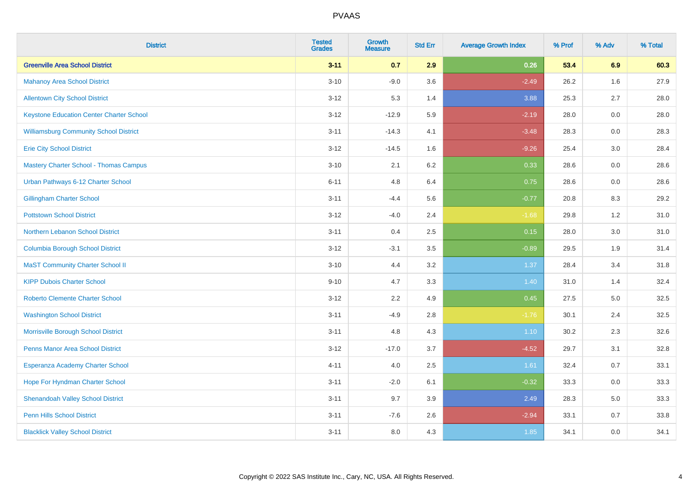| <b>District</b>                                 | <b>Tested</b><br><b>Grades</b> | <b>Growth</b><br><b>Measure</b> | <b>Std Err</b> | <b>Average Growth Index</b> | % Prof | % Adv   | % Total |
|-------------------------------------------------|--------------------------------|---------------------------------|----------------|-----------------------------|--------|---------|---------|
| <b>Greenville Area School District</b>          | $3 - 11$                       | 0.7                             | 2.9            | 0.26                        | 53.4   | 6.9     | 60.3    |
| <b>Mahanoy Area School District</b>             | $3 - 10$                       | $-9.0$                          | 3.6            | $-2.49$                     | 26.2   | 1.6     | 27.9    |
| <b>Allentown City School District</b>           | $3 - 12$                       | 5.3                             | 1.4            | 3.88                        | 25.3   | 2.7     | 28.0    |
| <b>Keystone Education Center Charter School</b> | $3 - 12$                       | $-12.9$                         | 5.9            | $-2.19$                     | 28.0   | $0.0\,$ | 28.0    |
| <b>Williamsburg Community School District</b>   | $3 - 11$                       | $-14.3$                         | 4.1            | $-3.48$                     | 28.3   | 0.0     | 28.3    |
| <b>Erie City School District</b>                | $3 - 12$                       | $-14.5$                         | 1.6            | $-9.26$                     | 25.4   | 3.0     | 28.4    |
| <b>Mastery Charter School - Thomas Campus</b>   | $3 - 10$                       | 2.1                             | 6.2            | 0.33                        | 28.6   | 0.0     | 28.6    |
| Urban Pathways 6-12 Charter School              | $6 - 11$                       | 4.8                             | 6.4            | 0.75                        | 28.6   | 0.0     | 28.6    |
| <b>Gillingham Charter School</b>                | $3 - 11$                       | $-4.4$                          | 5.6            | $-0.77$                     | 20.8   | 8.3     | 29.2    |
| <b>Pottstown School District</b>                | $3 - 12$                       | $-4.0$                          | 2.4            | $-1.68$                     | 29.8   | 1.2     | 31.0    |
| Northern Lebanon School District                | $3 - 11$                       | 0.4                             | 2.5            | 0.15                        | 28.0   | 3.0     | 31.0    |
| <b>Columbia Borough School District</b>         | $3 - 12$                       | $-3.1$                          | 3.5            | $-0.89$                     | 29.5   | 1.9     | 31.4    |
| <b>MaST Community Charter School II</b>         | $3 - 10$                       | 4.4                             | 3.2            | 1.37                        | 28.4   | 3.4     | 31.8    |
| <b>KIPP Dubois Charter School</b>               | $9 - 10$                       | 4.7                             | 3.3            | 1.40                        | 31.0   | 1.4     | 32.4    |
| <b>Roberto Clemente Charter School</b>          | $3 - 12$                       | 2.2                             | 4.9            | 0.45                        | 27.5   | $5.0\,$ | 32.5    |
| <b>Washington School District</b>               | $3 - 11$                       | $-4.9$                          | 2.8            | $-1.76$                     | 30.1   | 2.4     | 32.5    |
| Morrisville Borough School District             | $3 - 11$                       | 4.8                             | 4.3            | $1.10$                      | 30.2   | 2.3     | 32.6    |
| <b>Penns Manor Area School District</b>         | $3 - 12$                       | $-17.0$                         | 3.7            | $-4.52$                     | 29.7   | 3.1     | 32.8    |
| Esperanza Academy Charter School                | $4 - 11$                       | 4.0                             | 2.5            | 1.61                        | 32.4   | 0.7     | 33.1    |
| Hope For Hyndman Charter School                 | $3 - 11$                       | $-2.0$                          | 6.1            | $-0.32$                     | 33.3   | 0.0     | 33.3    |
| <b>Shenandoah Valley School District</b>        | $3 - 11$                       | 9.7                             | 3.9            | 2.49                        | 28.3   | 5.0     | 33.3    |
| <b>Penn Hills School District</b>               | $3 - 11$                       | $-7.6$                          | 2.6            | $-2.94$                     | 33.1   | 0.7     | 33.8    |
| <b>Blacklick Valley School District</b>         | $3 - 11$                       | 8.0                             | 4.3            | 1.85                        | 34.1   | 0.0     | 34.1    |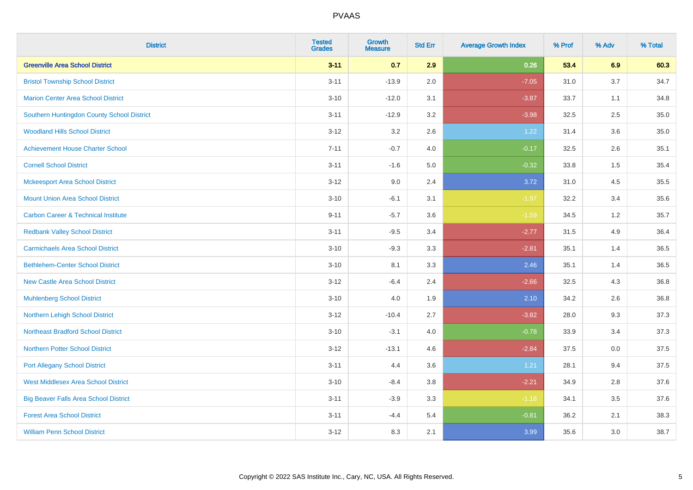| <b>District</b>                                | <b>Tested</b><br><b>Grades</b> | <b>Growth</b><br><b>Measure</b> | <b>Std Err</b> | <b>Average Growth Index</b> | % Prof | % Adv | % Total |
|------------------------------------------------|--------------------------------|---------------------------------|----------------|-----------------------------|--------|-------|---------|
| <b>Greenville Area School District</b>         | $3 - 11$                       | 0.7                             | 2.9            | 0.26                        | 53.4   | 6.9   | 60.3    |
| <b>Bristol Township School District</b>        | $3 - 11$                       | $-13.9$                         | 2.0            | $-7.05$                     | 31.0   | 3.7   | 34.7    |
| <b>Marion Center Area School District</b>      | $3 - 10$                       | $-12.0$                         | 3.1            | $-3.87$                     | 33.7   | 1.1   | 34.8    |
| Southern Huntingdon County School District     | $3 - 11$                       | $-12.9$                         | 3.2            | $-3.98$                     | 32.5   | 2.5   | 35.0    |
| <b>Woodland Hills School District</b>          | $3 - 12$                       | 3.2                             | 2.6            | 1.22                        | 31.4   | 3.6   | 35.0    |
| <b>Achievement House Charter School</b>        | $7 - 11$                       | $-0.7$                          | 4.0            | $-0.17$                     | 32.5   | 2.6   | 35.1    |
| <b>Cornell School District</b>                 | $3 - 11$                       | $-1.6$                          | 5.0            | $-0.32$                     | 33.8   | 1.5   | 35.4    |
| <b>Mckeesport Area School District</b>         | $3 - 12$                       | 9.0                             | 2.4            | 3.72                        | 31.0   | 4.5   | 35.5    |
| <b>Mount Union Area School District</b>        | $3 - 10$                       | $-6.1$                          | 3.1            | $-1.97$                     | 32.2   | 3.4   | 35.6    |
| <b>Carbon Career &amp; Technical Institute</b> | $9 - 11$                       | $-5.7$                          | 3.6            | $-1.59$                     | 34.5   | 1.2   | 35.7    |
| <b>Redbank Valley School District</b>          | $3 - 11$                       | $-9.5$                          | 3.4            | $-2.77$                     | 31.5   | 4.9   | 36.4    |
| <b>Carmichaels Area School District</b>        | $3 - 10$                       | $-9.3$                          | 3.3            | $-2.81$                     | 35.1   | 1.4   | 36.5    |
| <b>Bethlehem-Center School District</b>        | $3 - 10$                       | 8.1                             | 3.3            | 2.46                        | 35.1   | 1.4   | 36.5    |
| <b>New Castle Area School District</b>         | $3 - 12$                       | $-6.4$                          | 2.4            | $-2.66$                     | 32.5   | 4.3   | 36.8    |
| <b>Muhlenberg School District</b>              | $3 - 10$                       | 4.0                             | 1.9            | 2.10                        | 34.2   | 2.6   | 36.8    |
| Northern Lehigh School District                | $3 - 12$                       | $-10.4$                         | 2.7            | $-3.82$                     | 28.0   | 9.3   | 37.3    |
| <b>Northeast Bradford School District</b>      | $3 - 10$                       | $-3.1$                          | 4.0            | $-0.78$                     | 33.9   | 3.4   | 37.3    |
| <b>Northern Potter School District</b>         | $3 - 12$                       | $-13.1$                         | 4.6            | $-2.84$                     | 37.5   | 0.0   | 37.5    |
| <b>Port Allegany School District</b>           | $3 - 11$                       | 4.4                             | 3.6            | 1.21                        | 28.1   | 9.4   | 37.5    |
| <b>West Middlesex Area School District</b>     | $3 - 10$                       | $-8.4$                          | 3.8            | $-2.21$                     | 34.9   | 2.8   | 37.6    |
| <b>Big Beaver Falls Area School District</b>   | $3 - 11$                       | $-3.9$                          | 3.3            | $-1.18$                     | 34.1   | 3.5   | 37.6    |
| <b>Forest Area School District</b>             | $3 - 11$                       | $-4.4$                          | 5.4            | $-0.81$                     | 36.2   | 2.1   | 38.3    |
| <b>William Penn School District</b>            | $3 - 12$                       | 8.3                             | 2.1            | 3.99                        | 35.6   | 3.0   | 38.7    |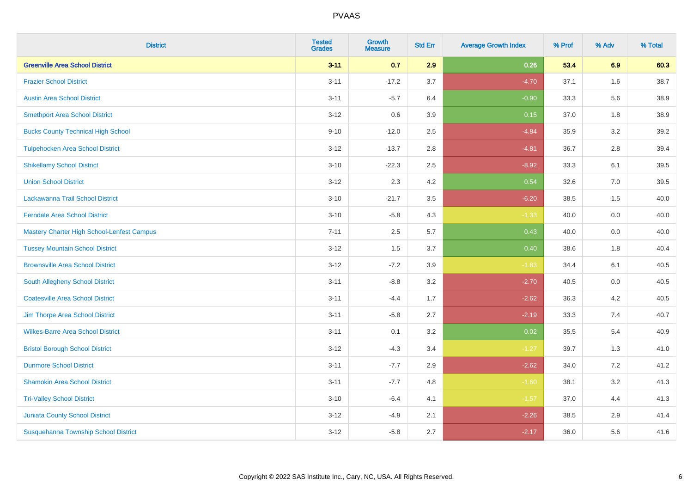| <b>District</b>                            | <b>Tested</b><br><b>Grades</b> | <b>Growth</b><br><b>Measure</b> | <b>Std Err</b> | <b>Average Growth Index</b> | % Prof | % Adv | % Total |
|--------------------------------------------|--------------------------------|---------------------------------|----------------|-----------------------------|--------|-------|---------|
| <b>Greenville Area School District</b>     | $3 - 11$                       | 0.7                             | 2.9            | 0.26                        | 53.4   | 6.9   | 60.3    |
| <b>Frazier School District</b>             | $3 - 11$                       | $-17.2$                         | 3.7            | $-4.70$                     | 37.1   | 1.6   | 38.7    |
| <b>Austin Area School District</b>         | $3 - 11$                       | $-5.7$                          | 6.4            | $-0.90$                     | 33.3   | 5.6   | 38.9    |
| <b>Smethport Area School District</b>      | $3 - 12$                       | 0.6                             | 3.9            | 0.15                        | 37.0   | 1.8   | 38.9    |
| <b>Bucks County Technical High School</b>  | $9 - 10$                       | $-12.0$                         | 2.5            | $-4.84$                     | 35.9   | 3.2   | 39.2    |
| <b>Tulpehocken Area School District</b>    | $3 - 12$                       | $-13.7$                         | 2.8            | $-4.81$                     | 36.7   | 2.8   | 39.4    |
| <b>Shikellamy School District</b>          | $3 - 10$                       | $-22.3$                         | 2.5            | $-8.92$                     | 33.3   | 6.1   | 39.5    |
| <b>Union School District</b>               | $3 - 12$                       | 2.3                             | 4.2            | 0.54                        | 32.6   | 7.0   | 39.5    |
| Lackawanna Trail School District           | $3 - 10$                       | $-21.7$                         | 3.5            | $-6.20$                     | 38.5   | 1.5   | 40.0    |
| <b>Ferndale Area School District</b>       | $3 - 10$                       | $-5.8$                          | 4.3            | $-1.33$                     | 40.0   | 0.0   | 40.0    |
| Mastery Charter High School-Lenfest Campus | $7 - 11$                       | 2.5                             | 5.7            | 0.43                        | 40.0   | 0.0   | 40.0    |
| <b>Tussey Mountain School District</b>     | $3 - 12$                       | 1.5                             | 3.7            | 0.40                        | 38.6   | 1.8   | 40.4    |
| <b>Brownsville Area School District</b>    | $3 - 12$                       | $-7.2$                          | 3.9            | $-1.83$                     | 34.4   | 6.1   | 40.5    |
| South Allegheny School District            | $3 - 11$                       | $-8.8$                          | 3.2            | $-2.70$                     | 40.5   | 0.0   | 40.5    |
| <b>Coatesville Area School District</b>    | $3 - 11$                       | $-4.4$                          | 1.7            | $-2.62$                     | 36.3   | 4.2   | 40.5    |
| Jim Thorpe Area School District            | $3 - 11$                       | $-5.8$                          | 2.7            | $-2.19$                     | 33.3   | 7.4   | 40.7    |
| <b>Wilkes-Barre Area School District</b>   | $3 - 11$                       | 0.1                             | 3.2            | 0.02                        | 35.5   | 5.4   | 40.9    |
| <b>Bristol Borough School District</b>     | $3 - 12$                       | $-4.3$                          | 3.4            | $-1.27$                     | 39.7   | 1.3   | 41.0    |
| <b>Dunmore School District</b>             | $3 - 11$                       | $-7.7$                          | 2.9            | $-2.62$                     | 34.0   | 7.2   | 41.2    |
| <b>Shamokin Area School District</b>       | $3 - 11$                       | $-7.7$                          | 4.8            | $-1.60$                     | 38.1   | 3.2   | 41.3    |
| <b>Tri-Valley School District</b>          | $3 - 10$                       | $-6.4$                          | 4.1            | $-1.57$                     | 37.0   | 4.4   | 41.3    |
| <b>Juniata County School District</b>      | $3 - 12$                       | $-4.9$                          | 2.1            | $-2.26$                     | 38.5   | 2.9   | 41.4    |
| Susquehanna Township School District       | $3 - 12$                       | $-5.8$                          | 2.7            | $-2.17$                     | 36.0   | 5.6   | 41.6    |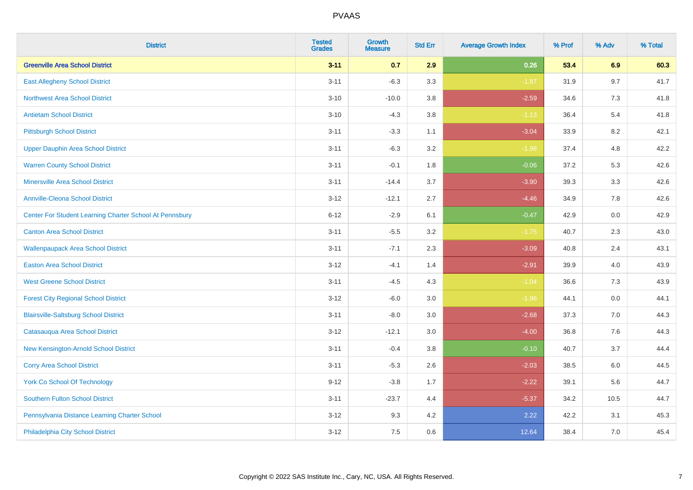| <b>District</b>                                         | <b>Tested</b><br><b>Grades</b> | <b>Growth</b><br><b>Measure</b> | <b>Std Err</b> | <b>Average Growth Index</b> | % Prof | % Adv | % Total |
|---------------------------------------------------------|--------------------------------|---------------------------------|----------------|-----------------------------|--------|-------|---------|
| <b>Greenville Area School District</b>                  | $3 - 11$                       | 0.7                             | 2.9            | 0.26                        | 53.4   | 6.9   | 60.3    |
| <b>East Allegheny School District</b>                   | $3 - 11$                       | $-6.3$                          | 3.3            | $-1.87$                     | 31.9   | 9.7   | 41.7    |
| <b>Northwest Area School District</b>                   | $3 - 10$                       | $-10.0$                         | 3.8            | $-2.59$                     | 34.6   | 7.3   | 41.8    |
| <b>Antietam School District</b>                         | $3 - 10$                       | $-4.3$                          | 3.8            | $-1.13$                     | 36.4   | 5.4   | 41.8    |
| <b>Pittsburgh School District</b>                       | $3 - 11$                       | $-3.3$                          | 1.1            | $-3.04$                     | 33.9   | 8.2   | 42.1    |
| <b>Upper Dauphin Area School District</b>               | $3 - 11$                       | $-6.3$                          | 3.2            | $-1.98$                     | 37.4   | 4.8   | 42.2    |
| <b>Warren County School District</b>                    | $3 - 11$                       | $-0.1$                          | 1.8            | $-0.06$                     | 37.2   | 5.3   | 42.6    |
| <b>Minersville Area School District</b>                 | $3 - 11$                       | $-14.4$                         | 3.7            | $-3.90$                     | 39.3   | 3.3   | 42.6    |
| <b>Annville-Cleona School District</b>                  | $3 - 12$                       | $-12.1$                         | 2.7            | $-4.46$                     | 34.9   | 7.8   | 42.6    |
| Center For Student Learning Charter School At Pennsbury | $6 - 12$                       | $-2.9$                          | 6.1            | $-0.47$                     | 42.9   | 0.0   | 42.9    |
| <b>Canton Area School District</b>                      | $3 - 11$                       | $-5.5$                          | 3.2            | $-1.75$                     | 40.7   | 2.3   | 43.0    |
| <b>Wallenpaupack Area School District</b>               | $3 - 11$                       | $-7.1$                          | 2.3            | $-3.09$                     | 40.8   | 2.4   | 43.1    |
| <b>Easton Area School District</b>                      | $3 - 12$                       | $-4.1$                          | 1.4            | $-2.91$                     | 39.9   | 4.0   | 43.9    |
| <b>West Greene School District</b>                      | $3 - 11$                       | $-4.5$                          | 4.3            | $-1.04$                     | 36.6   | 7.3   | 43.9    |
| <b>Forest City Regional School District</b>             | $3 - 12$                       | $-6.0$                          | 3.0            | $-1.96$                     | 44.1   | 0.0   | 44.1    |
| <b>Blairsville-Saltsburg School District</b>            | $3 - 11$                       | $-8.0$                          | 3.0            | $-2.68$                     | 37.3   | 7.0   | 44.3    |
| Catasauqua Area School District                         | $3 - 12$                       | $-12.1$                         | 3.0            | $-4.00$                     | 36.8   | 7.6   | 44.3    |
| New Kensington-Arnold School District                   | $3 - 11$                       | $-0.4$                          | 3.8            | $-0.10$                     | 40.7   | 3.7   | 44.4    |
| <b>Corry Area School District</b>                       | $3 - 11$                       | $-5.3$                          | 2.6            | $-2.03$                     | 38.5   | 6.0   | 44.5    |
| <b>York Co School Of Technology</b>                     | $9 - 12$                       | $-3.8$                          | 1.7            | $-2.22$                     | 39.1   | 5.6   | 44.7    |
| <b>Southern Fulton School District</b>                  | $3 - 11$                       | $-23.7$                         | 4.4            | $-5.37$                     | 34.2   | 10.5  | 44.7    |
| Pennsylvania Distance Learning Charter School           | $3 - 12$                       | 9.3                             | 4.2            | 2.22                        | 42.2   | 3.1   | 45.3    |
| Philadelphia City School District                       | $3 - 12$                       | 7.5                             | 0.6            | 12.64                       | 38.4   | 7.0   | 45.4    |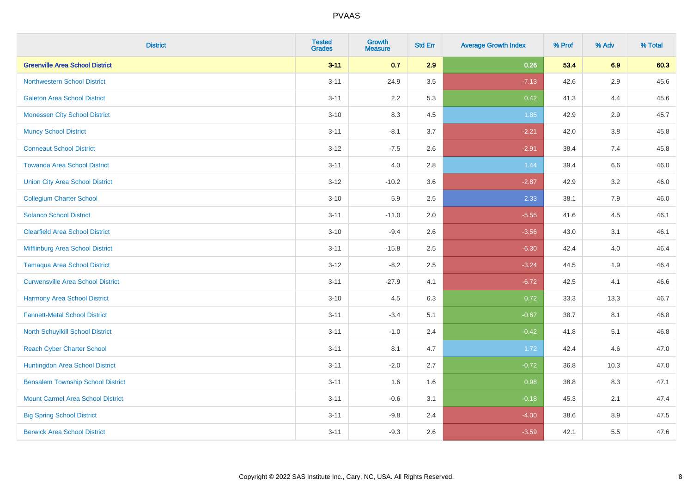| <b>District</b>                          | <b>Tested</b><br><b>Grades</b> | <b>Growth</b><br><b>Measure</b> | <b>Std Err</b> | <b>Average Growth Index</b> | % Prof | % Adv | % Total |
|------------------------------------------|--------------------------------|---------------------------------|----------------|-----------------------------|--------|-------|---------|
| <b>Greenville Area School District</b>   | $3 - 11$                       | 0.7                             | 2.9            | 0.26                        | 53.4   | 6.9   | 60.3    |
| <b>Northwestern School District</b>      | $3 - 11$                       | $-24.9$                         | 3.5            | $-7.13$                     | 42.6   | 2.9   | 45.6    |
| <b>Galeton Area School District</b>      | $3 - 11$                       | 2.2                             | 5.3            | 0.42                        | 41.3   | 4.4   | 45.6    |
| <b>Monessen City School District</b>     | $3 - 10$                       | 8.3                             | 4.5            | 1.85                        | 42.9   | 2.9   | 45.7    |
| <b>Muncy School District</b>             | $3 - 11$                       | $-8.1$                          | 3.7            | $-2.21$                     | 42.0   | 3.8   | 45.8    |
| <b>Conneaut School District</b>          | $3 - 12$                       | $-7.5$                          | 2.6            | $-2.91$                     | 38.4   | 7.4   | 45.8    |
| <b>Towanda Area School District</b>      | $3 - 11$                       | 4.0                             | 2.8            | 1.44                        | 39.4   | 6.6   | 46.0    |
| <b>Union City Area School District</b>   | $3-12$                         | $-10.2$                         | 3.6            | $-2.87$                     | 42.9   | 3.2   | 46.0    |
| <b>Collegium Charter School</b>          | $3 - 10$                       | 5.9                             | 2.5            | 2.33                        | 38.1   | 7.9   | 46.0    |
| <b>Solanco School District</b>           | $3 - 11$                       | $-11.0$                         | 2.0            | $-5.55$                     | 41.6   | 4.5   | 46.1    |
| <b>Clearfield Area School District</b>   | $3 - 10$                       | $-9.4$                          | 2.6            | $-3.56$                     | 43.0   | 3.1   | 46.1    |
| Mifflinburg Area School District         | $3 - 11$                       | $-15.8$                         | 2.5            | $-6.30$                     | 42.4   | 4.0   | 46.4    |
| <b>Tamaqua Area School District</b>      | $3 - 12$                       | $-8.2$                          | 2.5            | $-3.24$                     | 44.5   | 1.9   | 46.4    |
| <b>Curwensville Area School District</b> | $3 - 11$                       | $-27.9$                         | 4.1            | $-6.72$                     | 42.5   | 4.1   | 46.6    |
| Harmony Area School District             | $3 - 10$                       | 4.5                             | 6.3            | 0.72                        | 33.3   | 13.3  | 46.7    |
| <b>Fannett-Metal School District</b>     | $3 - 11$                       | $-3.4$                          | 5.1            | $-0.67$                     | 38.7   | 8.1   | 46.8    |
| <b>North Schuylkill School District</b>  | $3 - 11$                       | $-1.0$                          | 2.4            | $-0.42$                     | 41.8   | 5.1   | 46.8    |
| <b>Reach Cyber Charter School</b>        | $3 - 11$                       | 8.1                             | 4.7            | 1.72                        | 42.4   | 4.6   | 47.0    |
| Huntingdon Area School District          | $3 - 11$                       | $-2.0$                          | 2.7            | $-0.72$                     | 36.8   | 10.3  | 47.0    |
| <b>Bensalem Township School District</b> | $3 - 11$                       | 1.6                             | 1.6            | 0.98                        | 38.8   | 8.3   | 47.1    |
| <b>Mount Carmel Area School District</b> | $3 - 11$                       | $-0.6$                          | 3.1            | $-0.18$                     | 45.3   | 2.1   | 47.4    |
| <b>Big Spring School District</b>        | $3 - 11$                       | $-9.8$                          | 2.4            | $-4.00$                     | 38.6   | 8.9   | 47.5    |
| <b>Berwick Area School District</b>      | $3 - 11$                       | $-9.3$                          | 2.6            | $-3.59$                     | 42.1   | 5.5   | 47.6    |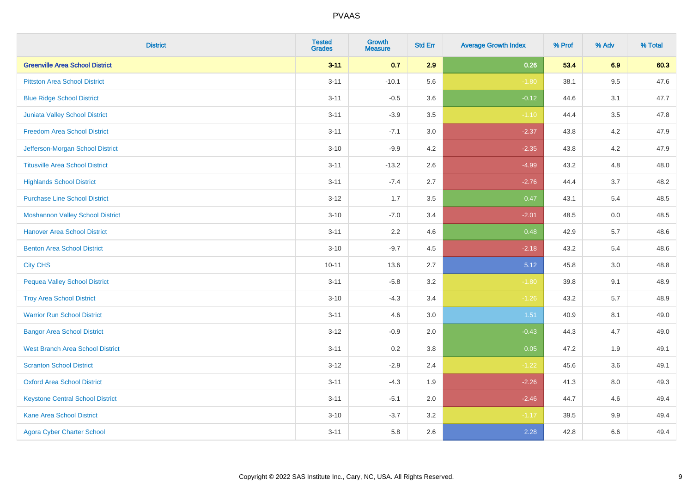| <b>District</b>                         | <b>Tested</b><br><b>Grades</b> | <b>Growth</b><br><b>Measure</b> | <b>Std Err</b> | <b>Average Growth Index</b> | % Prof | % Adv   | % Total |
|-----------------------------------------|--------------------------------|---------------------------------|----------------|-----------------------------|--------|---------|---------|
| <b>Greenville Area School District</b>  | $3 - 11$                       | 0.7                             | 2.9            | 0.26                        | 53.4   | 6.9     | 60.3    |
| <b>Pittston Area School District</b>    | $3 - 11$                       | $-10.1$                         | 5.6            | $-1.80$                     | 38.1   | $9.5\,$ | 47.6    |
| <b>Blue Ridge School District</b>       | $3 - 11$                       | $-0.5$                          | 3.6            | $-0.12$                     | 44.6   | 3.1     | 47.7    |
| Juniata Valley School District          | $3 - 11$                       | $-3.9$                          | 3.5            | $-1.10$                     | 44.4   | 3.5     | 47.8    |
| <b>Freedom Area School District</b>     | $3 - 11$                       | $-7.1$                          | 3.0            | $-2.37$                     | 43.8   | 4.2     | 47.9    |
| Jefferson-Morgan School District        | $3 - 10$                       | $-9.9$                          | 4.2            | $-2.35$                     | 43.8   | 4.2     | 47.9    |
| <b>Titusville Area School District</b>  | $3 - 11$                       | $-13.2$                         | 2.6            | $-4.99$                     | 43.2   | 4.8     | 48.0    |
| <b>Highlands School District</b>        | $3 - 11$                       | $-7.4$                          | 2.7            | $-2.76$                     | 44.4   | 3.7     | 48.2    |
| <b>Purchase Line School District</b>    | $3-12$                         | 1.7                             | 3.5            | 0.47                        | 43.1   | 5.4     | 48.5    |
| <b>Moshannon Valley School District</b> | $3 - 10$                       | $-7.0$                          | 3.4            | $-2.01$                     | 48.5   | 0.0     | 48.5    |
| <b>Hanover Area School District</b>     | $3 - 11$                       | 2.2                             | 4.6            | 0.48                        | 42.9   | 5.7     | 48.6    |
| <b>Benton Area School District</b>      | $3 - 10$                       | $-9.7$                          | 4.5            | $-2.18$                     | 43.2   | 5.4     | 48.6    |
| <b>City CHS</b>                         | $10 - 11$                      | 13.6                            | 2.7            | 5.12                        | 45.8   | $3.0\,$ | 48.8    |
| <b>Pequea Valley School District</b>    | $3 - 11$                       | $-5.8$                          | 3.2            | $-1.80$                     | 39.8   | 9.1     | 48.9    |
| <b>Troy Area School District</b>        | $3 - 10$                       | $-4.3$                          | 3.4            | $-1.26$                     | 43.2   | 5.7     | 48.9    |
| <b>Warrior Run School District</b>      | $3 - 11$                       | 4.6                             | $3.0\,$        | 1.51                        | 40.9   | 8.1     | 49.0    |
| <b>Bangor Area School District</b>      | $3 - 12$                       | $-0.9$                          | 2.0            | $-0.43$                     | 44.3   | 4.7     | 49.0    |
| <b>West Branch Area School District</b> | $3 - 11$                       | 0.2                             | 3.8            | 0.05                        | 47.2   | 1.9     | 49.1    |
| <b>Scranton School District</b>         | $3 - 12$                       | $-2.9$                          | 2.4            | $-1.22$                     | 45.6   | 3.6     | 49.1    |
| <b>Oxford Area School District</b>      | $3 - 11$                       | $-4.3$                          | 1.9            | $-2.26$                     | 41.3   | 8.0     | 49.3    |
| <b>Keystone Central School District</b> | $3 - 11$                       | $-5.1$                          | 2.0            | $-2.46$                     | 44.7   | 4.6     | 49.4    |
| <b>Kane Area School District</b>        | $3 - 10$                       | $-3.7$                          | 3.2            | $-1.17$                     | 39.5   | 9.9     | 49.4    |
| <b>Agora Cyber Charter School</b>       | $3 - 11$                       | 5.8                             | 2.6            | 2.28                        | 42.8   | 6.6     | 49.4    |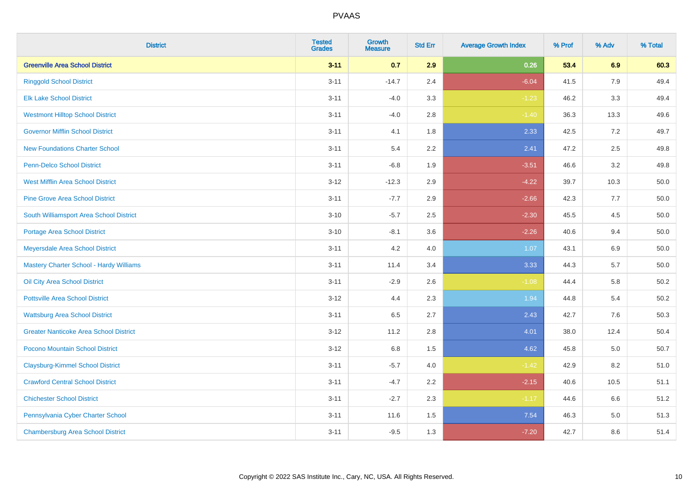| <b>District</b>                               | <b>Tested</b><br><b>Grades</b> | <b>Growth</b><br><b>Measure</b> | <b>Std Err</b> | <b>Average Growth Index</b> | % Prof | % Adv   | % Total  |
|-----------------------------------------------|--------------------------------|---------------------------------|----------------|-----------------------------|--------|---------|----------|
| <b>Greenville Area School District</b>        | $3 - 11$                       | 0.7                             | 2.9            | 0.26                        | 53.4   | 6.9     | 60.3     |
| <b>Ringgold School District</b>               | $3 - 11$                       | $-14.7$                         | 2.4            | $-6.04$                     | 41.5   | 7.9     | 49.4     |
| <b>Elk Lake School District</b>               | $3 - 11$                       | $-4.0$                          | 3.3            | $-1.23$                     | 46.2   | 3.3     | 49.4     |
| <b>Westmont Hilltop School District</b>       | $3 - 11$                       | $-4.0$                          | 2.8            | $-1.40$                     | 36.3   | 13.3    | 49.6     |
| <b>Governor Mifflin School District</b>       | $3 - 11$                       | 4.1                             | 1.8            | 2.33                        | 42.5   | $7.2\,$ | 49.7     |
| <b>New Foundations Charter School</b>         | $3 - 11$                       | 5.4                             | 2.2            | 2.41                        | 47.2   | 2.5     | 49.8     |
| Penn-Delco School District                    | $3 - 11$                       | $-6.8$                          | 1.9            | $-3.51$                     | 46.6   | 3.2     | 49.8     |
| <b>West Mifflin Area School District</b>      | $3 - 12$                       | $-12.3$                         | 2.9            | $-4.22$                     | 39.7   | 10.3    | 50.0     |
| <b>Pine Grove Area School District</b>        | $3 - 11$                       | $-7.7$                          | 2.9            | $-2.66$                     | 42.3   | 7.7     | 50.0     |
| South Williamsport Area School District       | $3 - 10$                       | $-5.7$                          | 2.5            | $-2.30$                     | 45.5   | $4.5\,$ | 50.0     |
| Portage Area School District                  | $3 - 10$                       | $-8.1$                          | 3.6            | $-2.26$                     | 40.6   | 9.4     | 50.0     |
| Meyersdale Area School District               | $3 - 11$                       | 4.2                             | 4.0            | 1.07                        | 43.1   | 6.9     | 50.0     |
| Mastery Charter School - Hardy Williams       | $3 - 11$                       | 11.4                            | 3.4            | 3.33                        | 44.3   | 5.7     | 50.0     |
| Oil City Area School District                 | $3 - 11$                       | $-2.9$                          | 2.6            | $-1.08$                     | 44.4   | 5.8     | 50.2     |
| <b>Pottsville Area School District</b>        | $3 - 12$                       | 4.4                             | 2.3            | 1.94                        | 44.8   | 5.4     | $50.2\,$ |
| <b>Wattsburg Area School District</b>         | $3 - 11$                       | 6.5                             | 2.7            | 2.43                        | 42.7   | 7.6     | 50.3     |
| <b>Greater Nanticoke Area School District</b> | $3 - 12$                       | 11.2                            | 2.8            | 4.01                        | 38.0   | 12.4    | 50.4     |
| Pocono Mountain School District               | $3 - 12$                       | 6.8                             | 1.5            | 4.62                        | 45.8   | 5.0     | 50.7     |
| <b>Claysburg-Kimmel School District</b>       | $3 - 11$                       | $-5.7$                          | $4.0$          | $-1.42$                     | 42.9   | 8.2     | 51.0     |
| <b>Crawford Central School District</b>       | $3 - 11$                       | $-4.7$                          | 2.2            | $-2.15$                     | 40.6   | 10.5    | 51.1     |
| <b>Chichester School District</b>             | $3 - 11$                       | $-2.7$                          | 2.3            | $-1.17$                     | 44.6   | 6.6     | 51.2     |
| Pennsylvania Cyber Charter School             | $3 - 11$                       | 11.6                            | 1.5            | 7.54                        | 46.3   | 5.0     | 51.3     |
| <b>Chambersburg Area School District</b>      | $3 - 11$                       | $-9.5$                          | 1.3            | $-7.20$                     | 42.7   | 8.6     | 51.4     |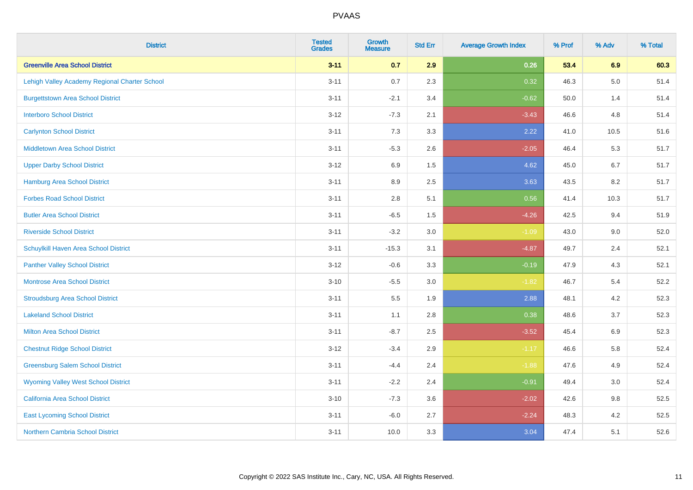| <b>District</b>                               | <b>Tested</b><br><b>Grades</b> | <b>Growth</b><br><b>Measure</b> | <b>Std Err</b> | <b>Average Growth Index</b> | % Prof | % Adv   | % Total |
|-----------------------------------------------|--------------------------------|---------------------------------|----------------|-----------------------------|--------|---------|---------|
| <b>Greenville Area School District</b>        | $3 - 11$                       | 0.7                             | 2.9            | 0.26                        | 53.4   | 6.9     | 60.3    |
| Lehigh Valley Academy Regional Charter School | $3 - 11$                       | 0.7                             | 2.3            | 0.32                        | 46.3   | $5.0\,$ | 51.4    |
| <b>Burgettstown Area School District</b>      | $3 - 11$                       | $-2.1$                          | 3.4            | $-0.62$                     | 50.0   | 1.4     | 51.4    |
| <b>Interboro School District</b>              | $3 - 12$                       | $-7.3$                          | 2.1            | $-3.43$                     | 46.6   | 4.8     | 51.4    |
| <b>Carlynton School District</b>              | $3 - 11$                       | 7.3                             | 3.3            | 2.22                        | 41.0   | 10.5    | 51.6    |
| <b>Middletown Area School District</b>        | $3 - 11$                       | $-5.3$                          | 2.6            | $-2.05$                     | 46.4   | 5.3     | 51.7    |
| <b>Upper Darby School District</b>            | $3 - 12$                       | 6.9                             | 1.5            | 4.62                        | 45.0   | 6.7     | 51.7    |
| <b>Hamburg Area School District</b>           | $3 - 11$                       | 8.9                             | 2.5            | 3.63                        | 43.5   | 8.2     | 51.7    |
| <b>Forbes Road School District</b>            | $3 - 11$                       | $2.8\,$                         | 5.1            | 0.56                        | 41.4   | 10.3    | 51.7    |
| <b>Butler Area School District</b>            | $3 - 11$                       | $-6.5$                          | 1.5            | $-4.26$                     | 42.5   | 9.4     | 51.9    |
| <b>Riverside School District</b>              | $3 - 11$                       | $-3.2$                          | 3.0            | $-1.09$                     | 43.0   | 9.0     | 52.0    |
| Schuylkill Haven Area School District         | $3 - 11$                       | $-15.3$                         | 3.1            | $-4.87$                     | 49.7   | 2.4     | 52.1    |
| <b>Panther Valley School District</b>         | $3 - 12$                       | $-0.6$                          | 3.3            | $-0.19$                     | 47.9   | 4.3     | 52.1    |
| Montrose Area School District                 | $3 - 10$                       | $-5.5$                          | 3.0            | $-1.82$                     | 46.7   | 5.4     | 52.2    |
| <b>Stroudsburg Area School District</b>       | $3 - 11$                       | $5.5\,$                         | 1.9            | 2.88                        | 48.1   | 4.2     | 52.3    |
| <b>Lakeland School District</b>               | $3 - 11$                       | 1.1                             | 2.8            | 0.38                        | 48.6   | 3.7     | 52.3    |
| <b>Milton Area School District</b>            | $3 - 11$                       | $-8.7$                          | 2.5            | $-3.52$                     | 45.4   | 6.9     | 52.3    |
| <b>Chestnut Ridge School District</b>         | $3 - 12$                       | $-3.4$                          | 2.9            | $-1.17$                     | 46.6   | 5.8     | 52.4    |
| <b>Greensburg Salem School District</b>       | $3 - 11$                       | $-4.4$                          | 2.4            | $-1.88$                     | 47.6   | 4.9     | 52.4    |
| <b>Wyoming Valley West School District</b>    | $3 - 11$                       | $-2.2$                          | 2.4            | $-0.91$                     | 49.4   | 3.0     | 52.4    |
| <b>California Area School District</b>        | $3 - 10$                       | $-7.3$                          | 3.6            | $-2.02$                     | 42.6   | 9.8     | 52.5    |
| <b>East Lycoming School District</b>          | $3 - 11$                       | $-6.0$                          | 2.7            | $-2.24$                     | 48.3   | 4.2     | 52.5    |
| <b>Northern Cambria School District</b>       | $3 - 11$                       | 10.0                            | 3.3            | 3.04                        | 47.4   | 5.1     | 52.6    |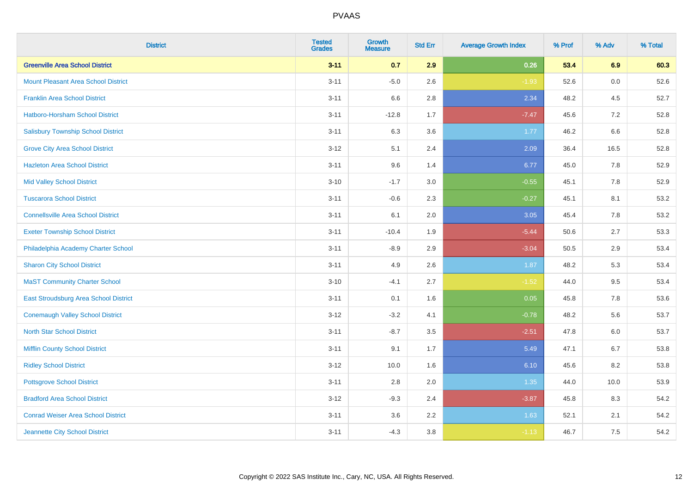| <b>District</b>                            | <b>Tested</b><br><b>Grades</b> | <b>Growth</b><br><b>Measure</b> | <b>Std Err</b> | <b>Average Growth Index</b> | % Prof | % Adv   | % Total |
|--------------------------------------------|--------------------------------|---------------------------------|----------------|-----------------------------|--------|---------|---------|
| <b>Greenville Area School District</b>     | $3 - 11$                       | 0.7                             | 2.9            | 0.26                        | 53.4   | 6.9     | 60.3    |
| <b>Mount Pleasant Area School District</b> | $3 - 11$                       | $-5.0$                          | 2.6            | $-1.93$                     | 52.6   | 0.0     | 52.6    |
| <b>Franklin Area School District</b>       | $3 - 11$                       | 6.6                             | 2.8            | 2.34                        | 48.2   | 4.5     | 52.7    |
| Hatboro-Horsham School District            | $3 - 11$                       | $-12.8$                         | 1.7            | $-7.47$                     | 45.6   | $7.2\,$ | 52.8    |
| <b>Salisbury Township School District</b>  | $3 - 11$                       | 6.3                             | 3.6            | 1.77                        | 46.2   | 6.6     | 52.8    |
| <b>Grove City Area School District</b>     | $3-12$                         | 5.1                             | 2.4            | 2.09                        | 36.4   | 16.5    | 52.8    |
| <b>Hazleton Area School District</b>       | $3 - 11$                       | 9.6                             | 1.4            | 6.77                        | 45.0   | 7.8     | 52.9    |
| <b>Mid Valley School District</b>          | $3 - 10$                       | $-1.7$                          | 3.0            | $-0.55$                     | 45.1   | 7.8     | 52.9    |
| <b>Tuscarora School District</b>           | $3 - 11$                       | $-0.6$                          | 2.3            | $-0.27$                     | 45.1   | 8.1     | 53.2    |
| <b>Connellsville Area School District</b>  | $3 - 11$                       | 6.1                             | 2.0            | 3.05                        | 45.4   | 7.8     | 53.2    |
| <b>Exeter Township School District</b>     | $3 - 11$                       | $-10.4$                         | 1.9            | $-5.44$                     | 50.6   | 2.7     | 53.3    |
| Philadelphia Academy Charter School        | $3 - 11$                       | $-8.9$                          | 2.9            | $-3.04$                     | 50.5   | 2.9     | 53.4    |
| <b>Sharon City School District</b>         | $3 - 11$                       | 4.9                             | 2.6            | 1.87                        | 48.2   | 5.3     | 53.4    |
| <b>MaST Community Charter School</b>       | $3 - 10$                       | $-4.1$                          | 2.7            | $-1.52$                     | 44.0   | 9.5     | 53.4    |
| East Stroudsburg Area School District      | $3 - 11$                       | 0.1                             | 1.6            | 0.05                        | 45.8   | 7.8     | 53.6    |
| <b>Conemaugh Valley School District</b>    | $3 - 12$                       | $-3.2$                          | 4.1            | $-0.78$                     | 48.2   | 5.6     | 53.7    |
| <b>North Star School District</b>          | $3 - 11$                       | $-8.7$                          | 3.5            | $-2.51$                     | 47.8   | $6.0\,$ | 53.7    |
| <b>Mifflin County School District</b>      | $3 - 11$                       | 9.1                             | 1.7            | 5.49                        | 47.1   | 6.7     | 53.8    |
| <b>Ridley School District</b>              | $3-12$                         | 10.0                            | 1.6            | 6.10                        | 45.6   | 8.2     | 53.8    |
| <b>Pottsgrove School District</b>          | $3 - 11$                       | 2.8                             | 2.0            | 1.35                        | 44.0   | 10.0    | 53.9    |
| <b>Bradford Area School District</b>       | $3 - 12$                       | $-9.3$                          | 2.4            | $-3.87$                     | 45.8   | 8.3     | 54.2    |
| <b>Conrad Weiser Area School District</b>  | $3 - 11$                       | 3.6                             | 2.2            | 1.63                        | 52.1   | 2.1     | 54.2    |
| Jeannette City School District             | $3 - 11$                       | $-4.3$                          | $3.8\,$        | $-1.13$                     | 46.7   | 7.5     | 54.2    |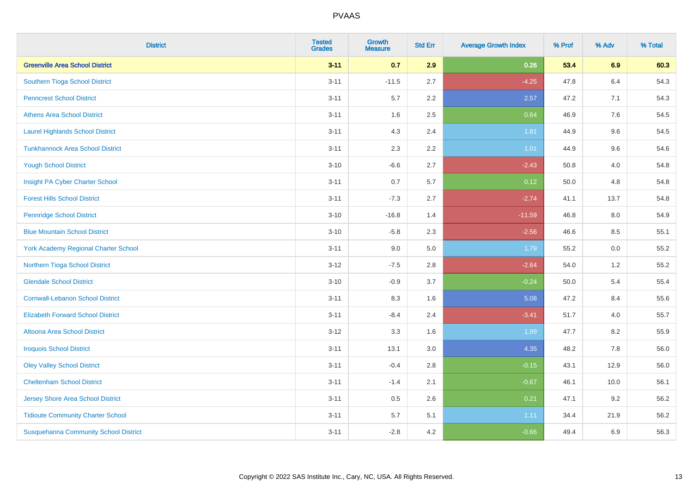| <b>District</b>                              | <b>Tested</b><br><b>Grades</b> | Growth<br><b>Measure</b> | <b>Std Err</b> | <b>Average Growth Index</b> | % Prof | % Adv | % Total |
|----------------------------------------------|--------------------------------|--------------------------|----------------|-----------------------------|--------|-------|---------|
| <b>Greenville Area School District</b>       | $3 - 11$                       | 0.7                      | 2.9            | 0.26                        | 53.4   | 6.9   | 60.3    |
| Southern Tioga School District               | $3 - 11$                       | $-11.5$                  | 2.7            | $-4.25$                     | 47.8   | 6.4   | 54.3    |
| <b>Penncrest School District</b>             | $3 - 11$                       | 5.7                      | 2.2            | 2.57                        | 47.2   | 7.1   | 54.3    |
| <b>Athens Area School District</b>           | $3 - 11$                       | 1.6                      | 2.5            | 0.64                        | 46.9   | 7.6   | 54.5    |
| <b>Laurel Highlands School District</b>      | $3 - 11$                       | 4.3                      | 2.4            | 1.81                        | 44.9   | 9.6   | 54.5    |
| <b>Tunkhannock Area School District</b>      | $3 - 11$                       | 2.3                      | 2.2            | 1.01                        | 44.9   | 9.6   | 54.6    |
| <b>Yough School District</b>                 | $3 - 10$                       | $-6.6$                   | 2.7            | $-2.43$                     | 50.8   | 4.0   | 54.8    |
| Insight PA Cyber Charter School              | $3 - 11$                       | 0.7                      | 5.7            | 0.12                        | 50.0   | 4.8   | 54.8    |
| <b>Forest Hills School District</b>          | $3 - 11$                       | $-7.3$                   | 2.7            | $-2.74$                     | 41.1   | 13.7  | 54.8    |
| <b>Pennridge School District</b>             | $3 - 10$                       | $-16.8$                  | 1.4            | $-11.59$                    | 46.8   | 8.0   | 54.9    |
| <b>Blue Mountain School District</b>         | $3 - 10$                       | $-5.8$                   | 2.3            | $-2.56$                     | 46.6   | 8.5   | 55.1    |
| <b>York Academy Regional Charter School</b>  | $3 - 11$                       | 9.0                      | 5.0            | 1.79                        | 55.2   | 0.0   | 55.2    |
| Northern Tioga School District               | $3 - 12$                       | $-7.5$                   | 2.8            | $-2.64$                     | 54.0   | $1.2$ | 55.2    |
| <b>Glendale School District</b>              | $3 - 10$                       | $-0.9$                   | 3.7            | $-0.24$                     | 50.0   | 5.4   | 55.4    |
| <b>Cornwall-Lebanon School District</b>      | $3 - 11$                       | 8.3                      | 1.6            | 5.08                        | 47.2   | 8.4   | 55.6    |
| <b>Elizabeth Forward School District</b>     | $3 - 11$                       | $-8.4$                   | 2.4            | $-3.41$                     | 51.7   | 4.0   | 55.7    |
| <b>Altoona Area School District</b>          | $3 - 12$                       | 3.3                      | 1.6            | 1.99                        | 47.7   | 8.2   | 55.9    |
| <b>Iroquois School District</b>              | $3 - 11$                       | 13.1                     | 3.0            | 4.35                        | 48.2   | 7.8   | 56.0    |
| <b>Oley Valley School District</b>           | $3 - 11$                       | $-0.4$                   | 2.8            | $-0.15$                     | 43.1   | 12.9  | 56.0    |
| <b>Cheltenham School District</b>            | $3 - 11$                       | $-1.4$                   | 2.1            | $-0.67$                     | 46.1   | 10.0  | 56.1    |
| Jersey Shore Area School District            | $3 - 11$                       | 0.5                      | 2.6            | 0.21                        | 47.1   | 9.2   | 56.2    |
| <b>Tidioute Community Charter School</b>     | $3 - 11$                       | 5.7                      | 5.1            | 1.11                        | 34.4   | 21.9  | 56.2    |
| <b>Susquehanna Community School District</b> | $3 - 11$                       | $-2.8$                   | 4.2            | $-0.66$                     | 49.4   | 6.9   | 56.3    |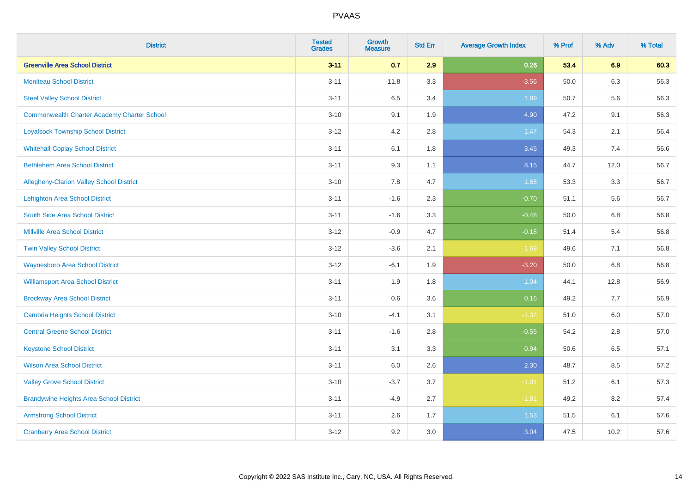| <b>District</b>                                    | <b>Tested</b><br><b>Grades</b> | <b>Growth</b><br><b>Measure</b> | <b>Std Err</b> | <b>Average Growth Index</b> | % Prof | % Adv   | % Total |
|----------------------------------------------------|--------------------------------|---------------------------------|----------------|-----------------------------|--------|---------|---------|
| <b>Greenville Area School District</b>             | $3 - 11$                       | 0.7                             | 2.9            | 0.26                        | 53.4   | 6.9     | 60.3    |
| <b>Moniteau School District</b>                    | $3 - 11$                       | $-11.8$                         | 3.3            | $-3.56$                     | 50.0   | 6.3     | 56.3    |
| <b>Steel Valley School District</b>                | $3 - 11$                       | 6.5                             | 3.4            | 1.89                        | 50.7   | 5.6     | 56.3    |
| <b>Commonwealth Charter Academy Charter School</b> | $3 - 10$                       | 9.1                             | 1.9            | 4.90                        | 47.2   | 9.1     | 56.3    |
| <b>Loyalsock Township School District</b>          | $3 - 12$                       | 4.2                             | 2.8            | 1.47                        | 54.3   | 2.1     | 56.4    |
| <b>Whitehall-Coplay School District</b>            | $3 - 11$                       | 6.1                             | 1.8            | 3.45                        | 49.3   | 7.4     | 56.6    |
| <b>Bethlehem Area School District</b>              | $3 - 11$                       | 9.3                             | 1.1            | 8.15                        | 44.7   | 12.0    | 56.7    |
| Allegheny-Clarion Valley School District           | $3 - 10$                       | 7.8                             | 4.7            | 1.65                        | 53.3   | 3.3     | 56.7    |
| <b>Lehighton Area School District</b>              | $3 - 11$                       | $-1.6$                          | 2.3            | $-0.70$                     | 51.1   | 5.6     | 56.7    |
| South Side Area School District                    | $3 - 11$                       | $-1.6$                          | 3.3            | $-0.48$                     | 50.0   | 6.8     | 56.8    |
| Millville Area School District                     | $3 - 12$                       | $-0.9$                          | 4.7            | $-0.18$                     | 51.4   | 5.4     | 56.8    |
| <b>Twin Valley School District</b>                 | $3 - 12$                       | $-3.6$                          | 2.1            | $-1.69$                     | 49.6   | 7.1     | 56.8    |
| <b>Waynesboro Area School District</b>             | $3 - 12$                       | $-6.1$                          | 1.9            | $-3.20$                     | 50.0   | 6.8     | 56.8    |
| <b>Williamsport Area School District</b>           | $3 - 11$                       | 1.9                             | 1.8            | 1.04                        | 44.1   | 12.8    | 56.9    |
| <b>Brockway Area School District</b>               | $3 - 11$                       | 0.6                             | 3.6            | 0.16                        | 49.2   | 7.7     | 56.9    |
| <b>Cambria Heights School District</b>             | $3 - 10$                       | $-4.1$                          | 3.1            | $-1.32$                     | 51.0   | $6.0\,$ | 57.0    |
| <b>Central Greene School District</b>              | $3 - 11$                       | $-1.6$                          | 2.8            | $-0.55$                     | 54.2   | 2.8     | 57.0    |
| <b>Keystone School District</b>                    | $3 - 11$                       | 3.1                             | 3.3            | 0.94                        | 50.6   | 6.5     | 57.1    |
| <b>Wilson Area School District</b>                 | $3 - 11$                       | 6.0                             | 2.6            | 2.30                        | 48.7   | 8.5     | 57.2    |
| <b>Valley Grove School District</b>                | $3 - 10$                       | $-3.7$                          | 3.7            | $-1.01$                     | 51.2   | 6.1     | 57.3    |
| <b>Brandywine Heights Area School District</b>     | $3 - 11$                       | $-4.9$                          | 2.7            | $-1.81$                     | 49.2   | 8.2     | 57.4    |
| <b>Armstrong School District</b>                   | $3 - 11$                       | 2.6                             | 1.7            | 1.53                        | 51.5   | 6.1     | 57.6    |
| <b>Cranberry Area School District</b>              | $3 - 12$                       | 9.2                             | 3.0            | 3.04                        | 47.5   | 10.2    | 57.6    |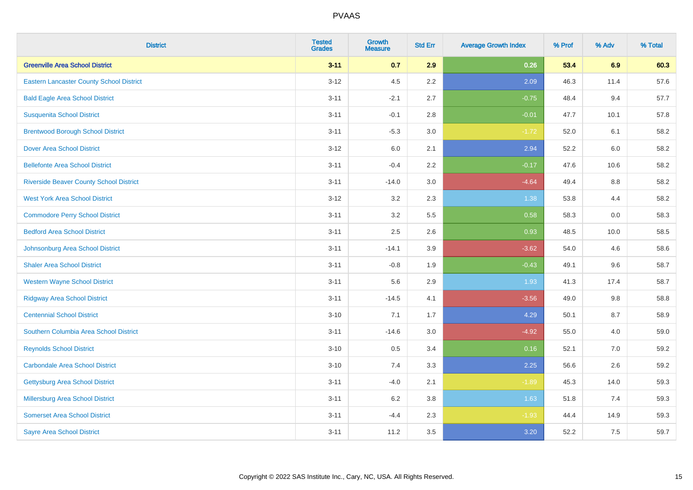| <b>District</b>                                 | <b>Tested</b><br><b>Grades</b> | <b>Growth</b><br><b>Measure</b> | <b>Std Err</b> | <b>Average Growth Index</b> | % Prof | % Adv | % Total |
|-------------------------------------------------|--------------------------------|---------------------------------|----------------|-----------------------------|--------|-------|---------|
| <b>Greenville Area School District</b>          | $3 - 11$                       | 0.7                             | 2.9            | 0.26                        | 53.4   | 6.9   | 60.3    |
| <b>Eastern Lancaster County School District</b> | $3 - 12$                       | 4.5                             | 2.2            | 2.09                        | 46.3   | 11.4  | 57.6    |
| <b>Bald Eagle Area School District</b>          | $3 - 11$                       | $-2.1$                          | 2.7            | $-0.75$                     | 48.4   | 9.4   | 57.7    |
| <b>Susquenita School District</b>               | $3 - 11$                       | $-0.1$                          | 2.8            | $-0.01$                     | 47.7   | 10.1  | 57.8    |
| <b>Brentwood Borough School District</b>        | $3 - 11$                       | $-5.3$                          | 3.0            | $-1.72$                     | 52.0   | 6.1   | 58.2    |
| <b>Dover Area School District</b>               | $3 - 12$                       | 6.0                             | 2.1            | 2.94                        | 52.2   | 6.0   | 58.2    |
| <b>Bellefonte Area School District</b>          | $3 - 11$                       | $-0.4$                          | 2.2            | $-0.17$                     | 47.6   | 10.6  | 58.2    |
| <b>Riverside Beaver County School District</b>  | $3 - 11$                       | $-14.0$                         | 3.0            | $-4.64$                     | 49.4   | 8.8   | 58.2    |
| <b>West York Area School District</b>           | $3 - 12$                       | 3.2                             | 2.3            | 1.38                        | 53.8   | 4.4   | 58.2    |
| <b>Commodore Perry School District</b>          | $3 - 11$                       | 3.2                             | 5.5            | 0.58                        | 58.3   | 0.0   | 58.3    |
| <b>Bedford Area School District</b>             | $3 - 11$                       | 2.5                             | 2.6            | 0.93                        | 48.5   | 10.0  | 58.5    |
| Johnsonburg Area School District                | $3 - 11$                       | $-14.1$                         | 3.9            | $-3.62$                     | 54.0   | 4.6   | 58.6    |
| <b>Shaler Area School District</b>              | $3 - 11$                       | $-0.8$                          | 1.9            | $-0.43$                     | 49.1   | 9.6   | 58.7    |
| <b>Western Wayne School District</b>            | $3 - 11$                       | 5.6                             | 2.9            | 1.93                        | 41.3   | 17.4  | 58.7    |
| <b>Ridgway Area School District</b>             | $3 - 11$                       | $-14.5$                         | 4.1            | $-3.56$                     | 49.0   | 9.8   | 58.8    |
| <b>Centennial School District</b>               | $3 - 10$                       | 7.1                             | 1.7            | 4.29                        | 50.1   | 8.7   | 58.9    |
| Southern Columbia Area School District          | $3 - 11$                       | $-14.6$                         | 3.0            | $-4.92$                     | 55.0   | 4.0   | 59.0    |
| <b>Reynolds School District</b>                 | $3 - 10$                       | 0.5                             | 3.4            | 0.16                        | 52.1   | 7.0   | 59.2    |
| <b>Carbondale Area School District</b>          | $3 - 10$                       | 7.4                             | 3.3            | 2.25                        | 56.6   | 2.6   | 59.2    |
| <b>Gettysburg Area School District</b>          | $3 - 11$                       | $-4.0$                          | 2.1            | $-1.89$                     | 45.3   | 14.0  | 59.3    |
| <b>Millersburg Area School District</b>         | $3 - 11$                       | 6.2                             | 3.8            | 1.63                        | 51.8   | 7.4   | 59.3    |
| <b>Somerset Area School District</b>            | $3 - 11$                       | $-4.4$                          | 2.3            | $-1.93$                     | 44.4   | 14.9  | 59.3    |
| <b>Sayre Area School District</b>               | $3 - 11$                       | 11.2                            | 3.5            | 3.20                        | 52.2   | 7.5   | 59.7    |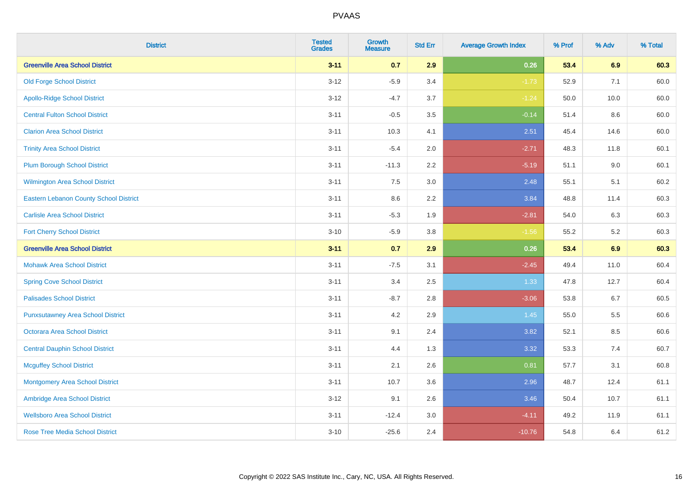| <b>District</b>                          | <b>Tested</b><br><b>Grades</b> | <b>Growth</b><br><b>Measure</b> | <b>Std Err</b> | <b>Average Growth Index</b> | % Prof | % Adv | % Total |
|------------------------------------------|--------------------------------|---------------------------------|----------------|-----------------------------|--------|-------|---------|
| <b>Greenville Area School District</b>   | $3 - 11$                       | 0.7                             | 2.9            | 0.26                        | 53.4   | 6.9   | 60.3    |
| <b>Old Forge School District</b>         | $3 - 12$                       | $-5.9$                          | 3.4            | $-1.73$                     | 52.9   | 7.1   | 60.0    |
| <b>Apollo-Ridge School District</b>      | $3 - 12$                       | $-4.7$                          | 3.7            | $-1.24$                     | 50.0   | 10.0  | 60.0    |
| <b>Central Fulton School District</b>    | $3 - 11$                       | $-0.5$                          | 3.5            | $-0.14$                     | 51.4   | 8.6   | 60.0    |
| <b>Clarion Area School District</b>      | $3 - 11$                       | 10.3                            | 4.1            | 2.51                        | 45.4   | 14.6  | 60.0    |
| <b>Trinity Area School District</b>      | $3 - 11$                       | $-5.4$                          | 2.0            | $-2.71$                     | 48.3   | 11.8  | 60.1    |
| <b>Plum Borough School District</b>      | $3 - 11$                       | $-11.3$                         | 2.2            | $-5.19$                     | 51.1   | 9.0   | 60.1    |
| <b>Wilmington Area School District</b>   | $3 - 11$                       | 7.5                             | $3.0\,$        | 2.48                        | 55.1   | 5.1   | 60.2    |
| Eastern Lebanon County School District   | $3 - 11$                       | 8.6                             | 2.2            | 3.84                        | 48.8   | 11.4  | 60.3    |
| <b>Carlisle Area School District</b>     | $3 - 11$                       | $-5.3$                          | 1.9            | $-2.81$                     | 54.0   | 6.3   | 60.3    |
| <b>Fort Cherry School District</b>       | $3 - 10$                       | $-5.9$                          | $3.8\,$        | $-1.56$                     | 55.2   | 5.2   | 60.3    |
| <b>Greenville Area School District</b>   | $3 - 11$                       | 0.7                             | 2.9            | 0.26                        | 53.4   | 6.9   | 60.3    |
| <b>Mohawk Area School District</b>       | $3 - 11$                       | $-7.5$                          | 3.1            | $-2.45$                     | 49.4   | 11.0  | 60.4    |
| <b>Spring Cove School District</b>       | $3 - 11$                       | 3.4                             | 2.5            | 1.33                        | 47.8   | 12.7  | 60.4    |
| <b>Palisades School District</b>         | $3 - 11$                       | $-8.7$                          | 2.8            | $-3.06$                     | 53.8   | 6.7   | 60.5    |
| <b>Punxsutawney Area School District</b> | $3 - 11$                       | 4.2                             | 2.9            | 1.45                        | 55.0   | 5.5   | 60.6    |
| <b>Octorara Area School District</b>     | $3 - 11$                       | 9.1                             | 2.4            | 3.82                        | 52.1   | 8.5   | 60.6    |
| <b>Central Dauphin School District</b>   | $3 - 11$                       | 4.4                             | 1.3            | 3.32                        | 53.3   | 7.4   | 60.7    |
| <b>Mcguffey School District</b>          | $3 - 11$                       | 2.1                             | 2.6            | 0.81                        | 57.7   | 3.1   | 60.8    |
| <b>Montgomery Area School District</b>   | $3 - 11$                       | 10.7                            | 3.6            | 2.96                        | 48.7   | 12.4  | 61.1    |
| Ambridge Area School District            | $3-12$                         | 9.1                             | 2.6            | 3.46                        | 50.4   | 10.7  | 61.1    |
| <b>Wellsboro Area School District</b>    | $3 - 11$                       | $-12.4$                         | 3.0            | $-4.11$                     | 49.2   | 11.9  | 61.1    |
| <b>Rose Tree Media School District</b>   | $3 - 10$                       | $-25.6$                         | 2.4            | $-10.76$                    | 54.8   | 6.4   | 61.2    |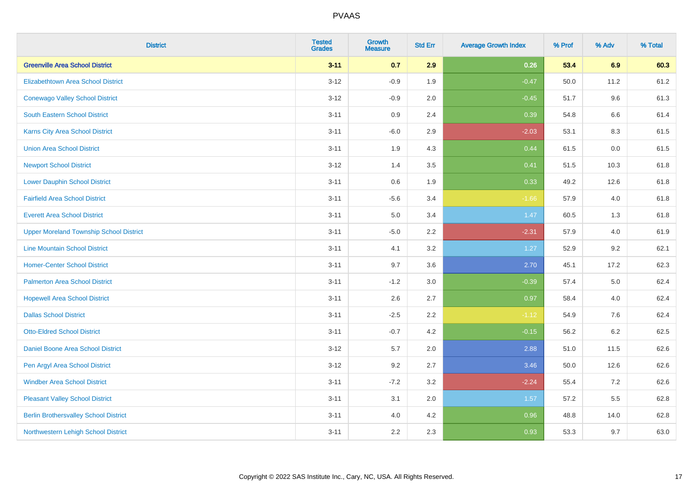| <b>District</b>                                | <b>Tested</b><br><b>Grades</b> | <b>Growth</b><br><b>Measure</b> | <b>Std Err</b> | <b>Average Growth Index</b> | % Prof | % Adv   | % Total |
|------------------------------------------------|--------------------------------|---------------------------------|----------------|-----------------------------|--------|---------|---------|
| <b>Greenville Area School District</b>         | $3 - 11$                       | 0.7                             | 2.9            | 0.26                        | 53.4   | 6.9     | 60.3    |
| <b>Elizabethtown Area School District</b>      | $3 - 12$                       | $-0.9$                          | 1.9            | $-0.47$                     | 50.0   | 11.2    | 61.2    |
| <b>Conewago Valley School District</b>         | $3 - 12$                       | $-0.9$                          | 2.0            | $-0.45$                     | 51.7   | 9.6     | 61.3    |
| South Eastern School District                  | $3 - 11$                       | $0.9\,$                         | 2.4            | 0.39                        | 54.8   | 6.6     | 61.4    |
| <b>Karns City Area School District</b>         | $3 - 11$                       | $-6.0$                          | 2.9            | $-2.03$                     | 53.1   | 8.3     | 61.5    |
| <b>Union Area School District</b>              | $3 - 11$                       | 1.9                             | 4.3            | 0.44                        | 61.5   | 0.0     | 61.5    |
| <b>Newport School District</b>                 | $3 - 12$                       | 1.4                             | 3.5            | 0.41                        | 51.5   | 10.3    | 61.8    |
| <b>Lower Dauphin School District</b>           | $3 - 11$                       | 0.6                             | 1.9            | 0.33                        | 49.2   | 12.6    | 61.8    |
| <b>Fairfield Area School District</b>          | $3 - 11$                       | $-5.6$                          | 3.4            | $-1.66$                     | 57.9   | 4.0     | 61.8    |
| <b>Everett Area School District</b>            | $3 - 11$                       | 5.0                             | 3.4            | 1.47                        | 60.5   | 1.3     | 61.8    |
| <b>Upper Moreland Township School District</b> | $3 - 11$                       | $-5.0$                          | 2.2            | $-2.31$                     | 57.9   | 4.0     | 61.9    |
| <b>Line Mountain School District</b>           | $3 - 11$                       | 4.1                             | 3.2            | 1.27                        | 52.9   | 9.2     | 62.1    |
| <b>Homer-Center School District</b>            | $3 - 11$                       | 9.7                             | 3.6            | 2.70                        | 45.1   | 17.2    | 62.3    |
| <b>Palmerton Area School District</b>          | $3 - 11$                       | $-1.2$                          | 3.0            | $-0.39$                     | 57.4   | 5.0     | 62.4    |
| <b>Hopewell Area School District</b>           | $3 - 11$                       | 2.6                             | 2.7            | 0.97                        | 58.4   | 4.0     | 62.4    |
| <b>Dallas School District</b>                  | $3 - 11$                       | $-2.5$                          | 2.2            | $-1.12$                     | 54.9   | 7.6     | 62.4    |
| <b>Otto-Eldred School District</b>             | $3 - 11$                       | $-0.7$                          | 4.2            | $-0.15$                     | 56.2   | $6.2\,$ | 62.5    |
| Daniel Boone Area School District              | $3 - 12$                       | 5.7                             | 2.0            | 2.88                        | 51.0   | 11.5    | 62.6    |
| Pen Argyl Area School District                 | $3 - 12$                       | 9.2                             | 2.7            | 3.46                        | 50.0   | 12.6    | 62.6    |
| <b>Windber Area School District</b>            | $3 - 11$                       | $-7.2$                          | 3.2            | $-2.24$                     | 55.4   | 7.2     | 62.6    |
| <b>Pleasant Valley School District</b>         | $3 - 11$                       | 3.1                             | 2.0            | 1.57                        | 57.2   | 5.5     | 62.8    |
| <b>Berlin Brothersvalley School District</b>   | $3 - 11$                       | 4.0                             | 4.2            | 0.96                        | 48.8   | 14.0    | 62.8    |
| Northwestern Lehigh School District            | $3 - 11$                       | 2.2                             | 2.3            | 0.93                        | 53.3   | 9.7     | 63.0    |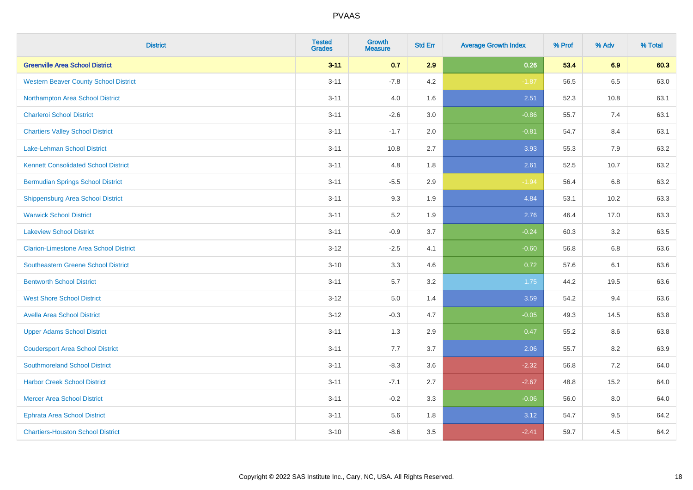| <b>District</b>                               | <b>Tested</b><br><b>Grades</b> | <b>Growth</b><br><b>Measure</b> | <b>Std Err</b> | <b>Average Growth Index</b> | % Prof | % Adv | % Total |
|-----------------------------------------------|--------------------------------|---------------------------------|----------------|-----------------------------|--------|-------|---------|
| <b>Greenville Area School District</b>        | $3 - 11$                       | 0.7                             | 2.9            | 0.26                        | 53.4   | 6.9   | 60.3    |
| <b>Western Beaver County School District</b>  | $3 - 11$                       | $-7.8$                          | 4.2            | $-1.87$                     | 56.5   | 6.5   | 63.0    |
| Northampton Area School District              | $3 - 11$                       | 4.0                             | 1.6            | 2.51                        | 52.3   | 10.8  | 63.1    |
| <b>Charleroi School District</b>              | $3 - 11$                       | $-2.6$                          | 3.0            | $-0.86$                     | 55.7   | 7.4   | 63.1    |
| <b>Chartiers Valley School District</b>       | $3 - 11$                       | $-1.7$                          | 2.0            | $-0.81$                     | 54.7   | 8.4   | 63.1    |
| <b>Lake-Lehman School District</b>            | $3 - 11$                       | 10.8                            | 2.7            | 3.93                        | 55.3   | 7.9   | 63.2    |
| <b>Kennett Consolidated School District</b>   | $3 - 11$                       | 4.8                             | 1.8            | 2.61                        | 52.5   | 10.7  | 63.2    |
| <b>Bermudian Springs School District</b>      | $3 - 11$                       | $-5.5$                          | 2.9            | $-1.94$                     | 56.4   | 6.8   | 63.2    |
| <b>Shippensburg Area School District</b>      | $3 - 11$                       | 9.3                             | 1.9            | 4.84                        | 53.1   | 10.2  | 63.3    |
| <b>Warwick School District</b>                | $3 - 11$                       | 5.2                             | 1.9            | 2.76                        | 46.4   | 17.0  | 63.3    |
| <b>Lakeview School District</b>               | $3 - 11$                       | $-0.9$                          | 3.7            | $-0.24$                     | 60.3   | 3.2   | 63.5    |
| <b>Clarion-Limestone Area School District</b> | $3 - 12$                       | $-2.5$                          | 4.1            | $-0.60$                     | 56.8   | 6.8   | 63.6    |
| Southeastern Greene School District           | $3 - 10$                       | 3.3                             | 4.6            | 0.72                        | 57.6   | 6.1   | 63.6    |
| <b>Bentworth School District</b>              | $3 - 11$                       | 5.7                             | 3.2            | 1.75                        | 44.2   | 19.5  | 63.6    |
| <b>West Shore School District</b>             | $3 - 12$                       | 5.0                             | 1.4            | 3.59                        | 54.2   | 9.4   | 63.6    |
| <b>Avella Area School District</b>            | $3 - 12$                       | $-0.3$                          | 4.7            | $-0.05$                     | 49.3   | 14.5  | 63.8    |
| <b>Upper Adams School District</b>            | $3 - 11$                       | 1.3                             | 2.9            | 0.47                        | 55.2   | 8.6   | 63.8    |
| <b>Coudersport Area School District</b>       | $3 - 11$                       | 7.7                             | 3.7            | 2.06                        | 55.7   | 8.2   | 63.9    |
| <b>Southmoreland School District</b>          | $3 - 11$                       | $-8.3$                          | 3.6            | $-2.32$                     | 56.8   | 7.2   | 64.0    |
| <b>Harbor Creek School District</b>           | $3 - 11$                       | $-7.1$                          | 2.7            | $-2.67$                     | 48.8   | 15.2  | 64.0    |
| <b>Mercer Area School District</b>            | $3 - 11$                       | $-0.2$                          | 3.3            | $-0.06$                     | 56.0   | 8.0   | 64.0    |
| <b>Ephrata Area School District</b>           | $3 - 11$                       | 5.6                             | 1.8            | 3.12                        | 54.7   | 9.5   | 64.2    |
| <b>Chartiers-Houston School District</b>      | $3 - 10$                       | $-8.6$                          | 3.5            | $-2.41$                     | 59.7   | 4.5   | 64.2    |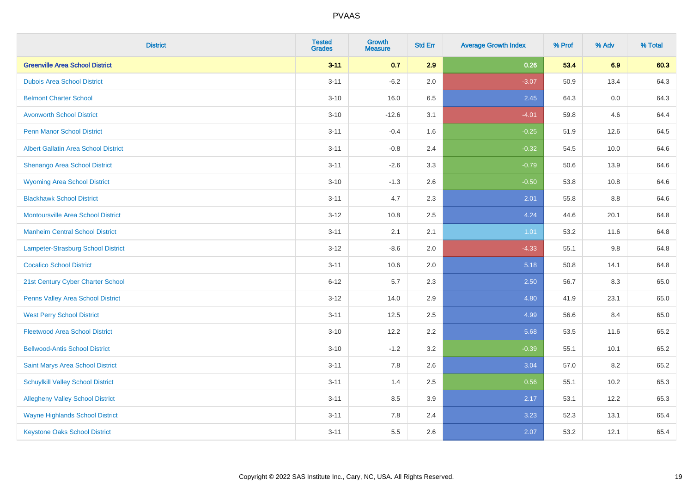| <b>District</b>                             | <b>Tested</b><br><b>Grades</b> | <b>Growth</b><br><b>Measure</b> | <b>Std Err</b> | <b>Average Growth Index</b> | % Prof | % Adv   | % Total |
|---------------------------------------------|--------------------------------|---------------------------------|----------------|-----------------------------|--------|---------|---------|
| <b>Greenville Area School District</b>      | $3 - 11$                       | 0.7                             | 2.9            | 0.26                        | 53.4   | 6.9     | 60.3    |
| <b>Dubois Area School District</b>          | $3 - 11$                       | $-6.2$                          | 2.0            | $-3.07$                     | 50.9   | 13.4    | 64.3    |
| <b>Belmont Charter School</b>               | $3 - 10$                       | 16.0                            | 6.5            | 2.45                        | 64.3   | 0.0     | 64.3    |
| <b>Avonworth School District</b>            | $3 - 10$                       | $-12.6$                         | 3.1            | $-4.01$                     | 59.8   | 4.6     | 64.4    |
| <b>Penn Manor School District</b>           | $3 - 11$                       | $-0.4$                          | 1.6            | $-0.25$                     | 51.9   | 12.6    | 64.5    |
| <b>Albert Gallatin Area School District</b> | $3 - 11$                       | $-0.8$                          | 2.4            | $-0.32$                     | 54.5   | 10.0    | 64.6    |
| Shenango Area School District               | $3 - 11$                       | $-2.6$                          | 3.3            | $-0.79$                     | 50.6   | 13.9    | 64.6    |
| <b>Wyoming Area School District</b>         | $3 - 10$                       | $-1.3$                          | 2.6            | $-0.50$                     | 53.8   | 10.8    | 64.6    |
| <b>Blackhawk School District</b>            | $3 - 11$                       | 4.7                             | 2.3            | 2.01                        | 55.8   | 8.8     | 64.6    |
| <b>Montoursville Area School District</b>   | $3-12$                         | 10.8                            | 2.5            | 4.24                        | 44.6   | 20.1    | 64.8    |
| <b>Manheim Central School District</b>      | $3 - 11$                       | 2.1                             | 2.1            | 1.01                        | 53.2   | 11.6    | 64.8    |
| Lampeter-Strasburg School District          | $3 - 12$                       | $-8.6$                          | 2.0            | $-4.33$                     | 55.1   | $9.8\,$ | 64.8    |
| <b>Cocalico School District</b>             | $3 - 11$                       | 10.6                            | 2.0            | 5.18                        | 50.8   | 14.1    | 64.8    |
| 21st Century Cyber Charter School           | $6 - 12$                       | 5.7                             | 2.3            | 2.50                        | 56.7   | 8.3     | 65.0    |
| Penns Valley Area School District           | $3-12$                         | 14.0                            | 2.9            | 4.80                        | 41.9   | 23.1    | 65.0    |
| <b>West Perry School District</b>           | $3 - 11$                       | 12.5                            | 2.5            | 4.99                        | 56.6   | 8.4     | 65.0    |
| <b>Fleetwood Area School District</b>       | $3 - 10$                       | 12.2                            | 2.2            | 5.68                        | 53.5   | 11.6    | 65.2    |
| <b>Bellwood-Antis School District</b>       | $3 - 10$                       | $-1.2$                          | 3.2            | $-0.39$                     | 55.1   | 10.1    | 65.2    |
| Saint Marys Area School District            | $3 - 11$                       | 7.8                             | 2.6            | 3.04                        | 57.0   | 8.2     | 65.2    |
| <b>Schuylkill Valley School District</b>    | $3 - 11$                       | 1.4                             | 2.5            | 0.56                        | 55.1   | 10.2    | 65.3    |
| <b>Allegheny Valley School District</b>     | $3 - 11$                       | 8.5                             | 3.9            | 2.17                        | 53.1   | 12.2    | 65.3    |
| <b>Wayne Highlands School District</b>      | $3 - 11$                       | 7.8                             | 2.4            | 3.23                        | 52.3   | 13.1    | 65.4    |
| <b>Keystone Oaks School District</b>        | $3 - 11$                       | 5.5                             | 2.6            | 2.07                        | 53.2   | 12.1    | 65.4    |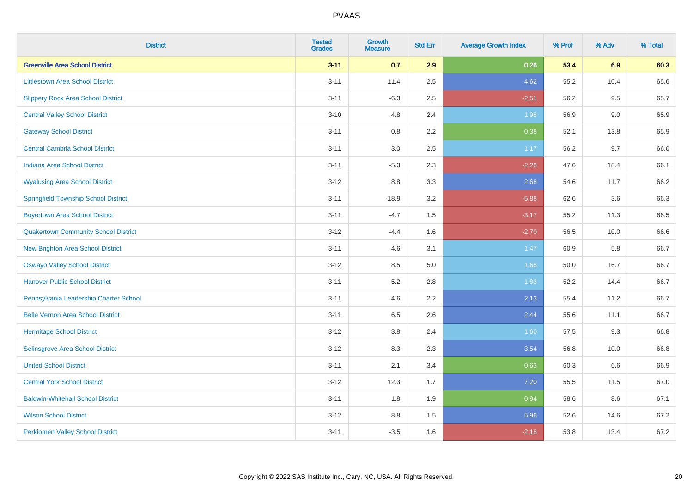| <b>District</b>                             | <b>Tested</b><br><b>Grades</b> | <b>Growth</b><br><b>Measure</b> | <b>Std Err</b> | <b>Average Growth Index</b> | % Prof | % Adv | % Total |
|---------------------------------------------|--------------------------------|---------------------------------|----------------|-----------------------------|--------|-------|---------|
| <b>Greenville Area School District</b>      | $3 - 11$                       | 0.7                             | 2.9            | 0.26                        | 53.4   | 6.9   | 60.3    |
| <b>Littlestown Area School District</b>     | $3 - 11$                       | 11.4                            | 2.5            | 4.62                        | 55.2   | 10.4  | 65.6    |
| <b>Slippery Rock Area School District</b>   | $3 - 11$                       | $-6.3$                          | 2.5            | $-2.51$                     | 56.2   | 9.5   | 65.7    |
| <b>Central Valley School District</b>       | $3 - 10$                       | 4.8                             | 2.4            | 1.98                        | 56.9   | 9.0   | 65.9    |
| <b>Gateway School District</b>              | $3 - 11$                       | 0.8                             | 2.2            | 0.38                        | 52.1   | 13.8  | 65.9    |
| <b>Central Cambria School District</b>      | $3 - 11$                       | $3.0\,$                         | 2.5            | 1.17                        | 56.2   | 9.7   | 66.0    |
| Indiana Area School District                | $3 - 11$                       | $-5.3$                          | 2.3            | $-2.28$                     | 47.6   | 18.4  | 66.1    |
| <b>Wyalusing Area School District</b>       | $3 - 12$                       | 8.8                             | 3.3            | 2.68                        | 54.6   | 11.7  | 66.2    |
| <b>Springfield Township School District</b> | $3 - 11$                       | $-18.9$                         | 3.2            | $-5.88$                     | 62.6   | 3.6   | 66.3    |
| <b>Boyertown Area School District</b>       | $3 - 11$                       | $-4.7$                          | 1.5            | $-3.17$                     | 55.2   | 11.3  | 66.5    |
| <b>Quakertown Community School District</b> | $3 - 12$                       | $-4.4$                          | 1.6            | $-2.70$                     | 56.5   | 10.0  | 66.6    |
| <b>New Brighton Area School District</b>    | $3 - 11$                       | 4.6                             | 3.1            | 1.47                        | 60.9   | 5.8   | 66.7    |
| <b>Oswayo Valley School District</b>        | $3 - 12$                       | 8.5                             | 5.0            | 1.68                        | 50.0   | 16.7  | 66.7    |
| <b>Hanover Public School District</b>       | $3 - 11$                       | 5.2                             | 2.8            | 1.83                        | 52.2   | 14.4  | 66.7    |
| Pennsylvania Leadership Charter School      | $3 - 11$                       | 4.6                             | 2.2            | 2.13                        | 55.4   | 11.2  | 66.7    |
| <b>Belle Vernon Area School District</b>    | $3 - 11$                       | 6.5                             | 2.6            | 2.44                        | 55.6   | 11.1  | 66.7    |
| <b>Hermitage School District</b>            | $3 - 12$                       | 3.8                             | 2.4            | 1.60                        | 57.5   | 9.3   | 66.8    |
| Selinsgrove Area School District            | $3 - 12$                       | 8.3                             | 2.3            | 3.54                        | 56.8   | 10.0  | 66.8    |
| <b>United School District</b>               | $3 - 11$                       | 2.1                             | 3.4            | 0.63                        | 60.3   | 6.6   | 66.9    |
| <b>Central York School District</b>         | $3 - 12$                       | 12.3                            | 1.7            | 7.20                        | 55.5   | 11.5  | 67.0    |
| <b>Baldwin-Whitehall School District</b>    | $3 - 11$                       | 1.8                             | 1.9            | 0.94                        | 58.6   | 8.6   | 67.1    |
| <b>Wilson School District</b>               | $3 - 12$                       | 8.8                             | 1.5            | 5.96                        | 52.6   | 14.6  | 67.2    |
| <b>Perkiomen Valley School District</b>     | $3 - 11$                       | $-3.5$                          | 1.6            | $-2.18$                     | 53.8   | 13.4  | 67.2    |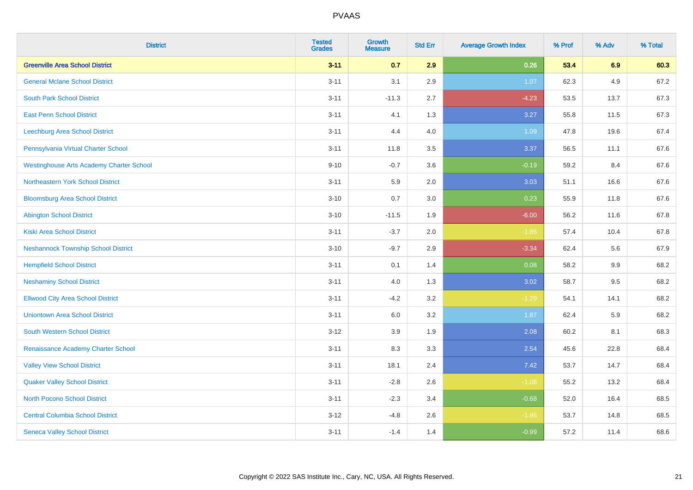| <b>District</b>                                 | <b>Tested</b><br><b>Grades</b> | <b>Growth</b><br><b>Measure</b> | <b>Std Err</b> | <b>Average Growth Index</b> | % Prof | % Adv | % Total |
|-------------------------------------------------|--------------------------------|---------------------------------|----------------|-----------------------------|--------|-------|---------|
| <b>Greenville Area School District</b>          | $3 - 11$                       | 0.7                             | 2.9            | 0.26                        | 53.4   | 6.9   | 60.3    |
| <b>General Mclane School District</b>           | $3 - 11$                       | 3.1                             | 2.9            | 1.07                        | 62.3   | 4.9   | 67.2    |
| <b>South Park School District</b>               | $3 - 11$                       | $-11.3$                         | 2.7            | $-4.23$                     | 53.5   | 13.7  | 67.3    |
| <b>East Penn School District</b>                | $3 - 11$                       | 4.1                             | 1.3            | 3.27                        | 55.8   | 11.5  | 67.3    |
| Leechburg Area School District                  | $3 - 11$                       | 4.4                             | 4.0            | 1.09                        | 47.8   | 19.6  | 67.4    |
| Pennsylvania Virtual Charter School             | $3 - 11$                       | 11.8                            | 3.5            | 3.37                        | 56.5   | 11.1  | 67.6    |
| <b>Westinghouse Arts Academy Charter School</b> | $9 - 10$                       | $-0.7$                          | 3.6            | $-0.19$                     | 59.2   | 8.4   | 67.6    |
| Northeastern York School District               | $3 - 11$                       | 5.9                             | 2.0            | 3.03                        | 51.1   | 16.6  | 67.6    |
| <b>Bloomsburg Area School District</b>          | $3 - 10$                       | 0.7                             | 3.0            | 0.23                        | 55.9   | 11.8  | 67.6    |
| <b>Abington School District</b>                 | $3 - 10$                       | $-11.5$                         | 1.9            | $-6.00$                     | 56.2   | 11.6  | 67.8    |
| <b>Kiski Area School District</b>               | $3 - 11$                       | $-3.7$                          | 2.0            | $-1.86$                     | 57.4   | 10.4  | 67.8    |
| <b>Neshannock Township School District</b>      | $3 - 10$                       | $-9.7$                          | 2.9            | $-3.34$                     | 62.4   | 5.6   | 67.9    |
| <b>Hempfield School District</b>                | $3 - 11$                       | 0.1                             | 1.4            | 0.08                        | 58.2   | 9.9   | 68.2    |
| <b>Neshaminy School District</b>                | $3 - 11$                       | 4.0                             | 1.3            | 3.02                        | 58.7   | 9.5   | 68.2    |
| <b>Ellwood City Area School District</b>        | $3 - 11$                       | $-4.2$                          | 3.2            | $-1.29$                     | 54.1   | 14.1  | 68.2    |
| <b>Uniontown Area School District</b>           | $3 - 11$                       | 6.0                             | 3.2            | 1.87                        | 62.4   | 5.9   | 68.2    |
| <b>South Western School District</b>            | $3 - 12$                       | 3.9                             | 1.9            | 2.08                        | 60.2   | 8.1   | 68.3    |
| Renaissance Academy Charter School              | $3 - 11$                       | 8.3                             | 3.3            | 2.54                        | 45.6   | 22.8  | 68.4    |
| <b>Valley View School District</b>              | $3 - 11$                       | 18.1                            | 2.4            | 7.42                        | 53.7   | 14.7  | 68.4    |
| <b>Quaker Valley School District</b>            | $3 - 11$                       | $-2.8$                          | 2.6            | $-1.08$                     | 55.2   | 13.2  | 68.4    |
| North Pocono School District                    | $3 - 11$                       | $-2.3$                          | 3.4            | $-0.68$                     | 52.0   | 16.4  | 68.5    |
| <b>Central Columbia School District</b>         | $3 - 12$                       | $-4.8$                          | 2.6            | $-1.86$                     | 53.7   | 14.8  | 68.5    |
| <b>Seneca Valley School District</b>            | $3 - 11$                       | $-1.4$                          | 1.4            | $-0.99$                     | 57.2   | 11.4  | 68.6    |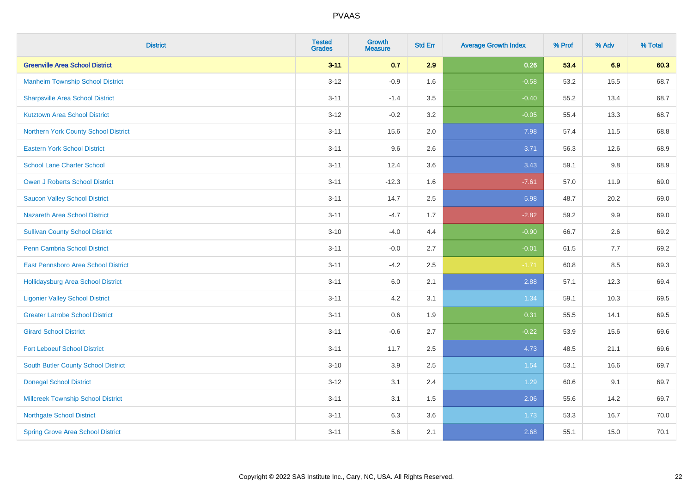| <b>District</b>                           | <b>Tested</b><br><b>Grades</b> | <b>Growth</b><br><b>Measure</b> | <b>Std Err</b> | <b>Average Growth Index</b> | % Prof | % Adv | % Total |
|-------------------------------------------|--------------------------------|---------------------------------|----------------|-----------------------------|--------|-------|---------|
| <b>Greenville Area School District</b>    | $3 - 11$                       | 0.7                             | 2.9            | 0.26                        | 53.4   | 6.9   | 60.3    |
| <b>Manheim Township School District</b>   | $3 - 12$                       | $-0.9$                          | 1.6            | $-0.58$                     | 53.2   | 15.5  | 68.7    |
| <b>Sharpsville Area School District</b>   | $3 - 11$                       | $-1.4$                          | 3.5            | $-0.40$                     | 55.2   | 13.4  | 68.7    |
| <b>Kutztown Area School District</b>      | $3 - 12$                       | $-0.2$                          | 3.2            | $-0.05$                     | 55.4   | 13.3  | 68.7    |
| Northern York County School District      | $3 - 11$                       | 15.6                            | 2.0            | 7.98                        | 57.4   | 11.5  | 68.8    |
| <b>Eastern York School District</b>       | $3 - 11$                       | 9.6                             | 2.6            | 3.71                        | 56.3   | 12.6  | 68.9    |
| <b>School Lane Charter School</b>         | $3 - 11$                       | 12.4                            | 3.6            | 3.43                        | 59.1   | 9.8   | 68.9    |
| <b>Owen J Roberts School District</b>     | $3 - 11$                       | $-12.3$                         | 1.6            | $-7.61$                     | 57.0   | 11.9  | 69.0    |
| <b>Saucon Valley School District</b>      | $3 - 11$                       | 14.7                            | 2.5            | 5.98                        | 48.7   | 20.2  | 69.0    |
| <b>Nazareth Area School District</b>      | $3 - 11$                       | $-4.7$                          | 1.7            | $-2.82$                     | 59.2   | 9.9   | 69.0    |
| <b>Sullivan County School District</b>    | $3 - 10$                       | $-4.0$                          | 4.4            | $-0.90$                     | 66.7   | 2.6   | 69.2    |
| Penn Cambria School District              | $3 - 11$                       | $-0.0$                          | 2.7            | $-0.01$                     | 61.5   | 7.7   | 69.2    |
| East Pennsboro Area School District       | $3 - 11$                       | $-4.2$                          | 2.5            | $-1.71$                     | 60.8   | 8.5   | 69.3    |
| <b>Hollidaysburg Area School District</b> | $3 - 11$                       | 6.0                             | 2.1            | 2.88                        | 57.1   | 12.3  | 69.4    |
| <b>Ligonier Valley School District</b>    | $3 - 11$                       | 4.2                             | 3.1            | 1.34                        | 59.1   | 10.3  | 69.5    |
| <b>Greater Latrobe School District</b>    | $3 - 11$                       | 0.6                             | 1.9            | 0.31                        | 55.5   | 14.1  | 69.5    |
| <b>Girard School District</b>             | $3 - 11$                       | $-0.6$                          | 2.7            | $-0.22$                     | 53.9   | 15.6  | 69.6    |
| <b>Fort Leboeuf School District</b>       | $3 - 11$                       | 11.7                            | 2.5            | 4.73                        | 48.5   | 21.1  | 69.6    |
| South Butler County School District       | $3 - 10$                       | 3.9                             | 2.5            | 1.54                        | 53.1   | 16.6  | 69.7    |
| <b>Donegal School District</b>            | $3 - 12$                       | 3.1                             | 2.4            | 1.29                        | 60.6   | 9.1   | 69.7    |
| <b>Millcreek Township School District</b> | $3 - 11$                       | 3.1                             | 1.5            | 2.06                        | 55.6   | 14.2  | 69.7    |
| <b>Northgate School District</b>          | $3 - 11$                       | 6.3                             | 3.6            | 1.73                        | 53.3   | 16.7  | 70.0    |
| <b>Spring Grove Area School District</b>  | $3 - 11$                       | 5.6                             | 2.1            | 2.68                        | 55.1   | 15.0  | 70.1    |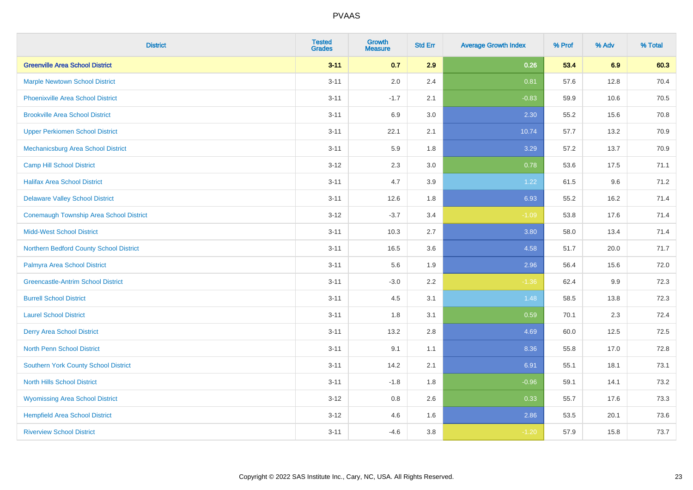| <b>District</b>                                | <b>Tested</b><br><b>Grades</b> | <b>Growth</b><br><b>Measure</b> | <b>Std Err</b> | <b>Average Growth Index</b> | % Prof | % Adv | % Total |
|------------------------------------------------|--------------------------------|---------------------------------|----------------|-----------------------------|--------|-------|---------|
| <b>Greenville Area School District</b>         | $3 - 11$                       | 0.7                             | 2.9            | 0.26                        | 53.4   | 6.9   | 60.3    |
| <b>Marple Newtown School District</b>          | $3 - 11$                       | 2.0                             | 2.4            | 0.81                        | 57.6   | 12.8  | 70.4    |
| <b>Phoenixville Area School District</b>       | $3 - 11$                       | $-1.7$                          | 2.1            | $-0.83$                     | 59.9   | 10.6  | 70.5    |
| <b>Brookville Area School District</b>         | $3 - 11$                       | 6.9                             | 3.0            | 2.30                        | 55.2   | 15.6  | 70.8    |
| <b>Upper Perkiomen School District</b>         | $3 - 11$                       | 22.1                            | 2.1            | 10.74                       | 57.7   | 13.2  | 70.9    |
| Mechanicsburg Area School District             | $3 - 11$                       | 5.9                             | 1.8            | 3.29                        | 57.2   | 13.7  | 70.9    |
| <b>Camp Hill School District</b>               | $3 - 12$                       | 2.3                             | 3.0            | 0.78                        | 53.6   | 17.5  | 71.1    |
| <b>Halifax Area School District</b>            | $3 - 11$                       | 4.7                             | 3.9            | 1.22                        | 61.5   | 9.6   | 71.2    |
| <b>Delaware Valley School District</b>         | $3 - 11$                       | 12.6                            | 1.8            | 6.93                        | 55.2   | 16.2  | 71.4    |
| <b>Conemaugh Township Area School District</b> | $3 - 12$                       | $-3.7$                          | 3.4            | $-1.09$                     | 53.8   | 17.6  | 71.4    |
| <b>Midd-West School District</b>               | $3 - 11$                       | 10.3                            | 2.7            | 3.80                        | 58.0   | 13.4  | 71.4    |
| Northern Bedford County School District        | $3 - 11$                       | 16.5                            | 3.6            | 4.58                        | 51.7   | 20.0  | 71.7    |
| Palmyra Area School District                   | $3 - 11$                       | 5.6                             | 1.9            | 2.96                        | 56.4   | 15.6  | 72.0    |
| <b>Greencastle-Antrim School District</b>      | $3 - 11$                       | $-3.0$                          | 2.2            | $-1.36$                     | 62.4   | 9.9   | 72.3    |
| <b>Burrell School District</b>                 | $3 - 11$                       | 4.5                             | 3.1            | 1.48                        | 58.5   | 13.8  | 72.3    |
| <b>Laurel School District</b>                  | $3 - 11$                       | 1.8                             | 3.1            | 0.59                        | 70.1   | 2.3   | 72.4    |
| <b>Derry Area School District</b>              | $3 - 11$                       | 13.2                            | 2.8            | 4.69                        | 60.0   | 12.5  | 72.5    |
| <b>North Penn School District</b>              | $3 - 11$                       | 9.1                             | 1.1            | 8.36                        | 55.8   | 17.0  | 72.8    |
| <b>Southern York County School District</b>    | $3 - 11$                       | 14.2                            | 2.1            | 6.91                        | 55.1   | 18.1  | 73.1    |
| <b>North Hills School District</b>             | $3 - 11$                       | $-1.8$                          | 1.8            | $-0.96$                     | 59.1   | 14.1  | 73.2    |
| <b>Wyomissing Area School District</b>         | $3 - 12$                       | 0.8                             | 2.6            | 0.33                        | 55.7   | 17.6  | 73.3    |
| <b>Hempfield Area School District</b>          | $3 - 12$                       | 4.6                             | 1.6            | 2.86                        | 53.5   | 20.1  | 73.6    |
| <b>Riverview School District</b>               | $3 - 11$                       | $-4.6$                          | 3.8            | $-1.20$                     | 57.9   | 15.8  | 73.7    |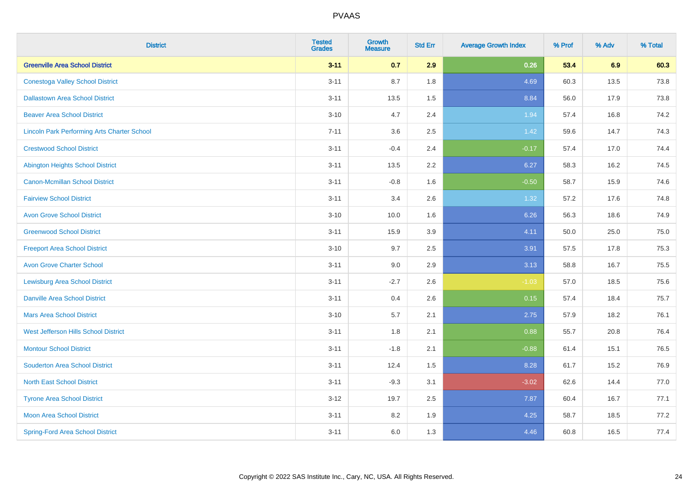| <b>District</b>                                    | <b>Tested</b><br><b>Grades</b> | <b>Growth</b><br><b>Measure</b> | <b>Std Err</b> | <b>Average Growth Index</b> | % Prof | % Adv | % Total |
|----------------------------------------------------|--------------------------------|---------------------------------|----------------|-----------------------------|--------|-------|---------|
| <b>Greenville Area School District</b>             | $3 - 11$                       | 0.7                             | 2.9            | 0.26                        | 53.4   | 6.9   | 60.3    |
| <b>Conestoga Valley School District</b>            | $3 - 11$                       | 8.7                             | 1.8            | 4.69                        | 60.3   | 13.5  | 73.8    |
| <b>Dallastown Area School District</b>             | $3 - 11$                       | 13.5                            | 1.5            | 8.84                        | 56.0   | 17.9  | 73.8    |
| <b>Beaver Area School District</b>                 | $3 - 10$                       | 4.7                             | 2.4            | 1.94                        | 57.4   | 16.8  | 74.2    |
| <b>Lincoln Park Performing Arts Charter School</b> | $7 - 11$                       | 3.6                             | 2.5            | 1.42                        | 59.6   | 14.7  | 74.3    |
| <b>Crestwood School District</b>                   | $3 - 11$                       | $-0.4$                          | 2.4            | $-0.17$                     | 57.4   | 17.0  | 74.4    |
| <b>Abington Heights School District</b>            | $3 - 11$                       | 13.5                            | 2.2            | 6.27                        | 58.3   | 16.2  | 74.5    |
| <b>Canon-Mcmillan School District</b>              | $3 - 11$                       | $-0.8$                          | 1.6            | $-0.50$                     | 58.7   | 15.9  | 74.6    |
| <b>Fairview School District</b>                    | $3 - 11$                       | 3.4                             | 2.6            | 1.32                        | 57.2   | 17.6  | 74.8    |
| <b>Avon Grove School District</b>                  | $3 - 10$                       | 10.0                            | 1.6            | 6.26                        | 56.3   | 18.6  | 74.9    |
| <b>Greenwood School District</b>                   | $3 - 11$                       | 15.9                            | 3.9            | 4.11                        | 50.0   | 25.0  | 75.0    |
| <b>Freeport Area School District</b>               | $3 - 10$                       | 9.7                             | 2.5            | 3.91                        | 57.5   | 17.8  | 75.3    |
| <b>Avon Grove Charter School</b>                   | $3 - 11$                       | 9.0                             | 2.9            | 3.13                        | 58.8   | 16.7  | 75.5    |
| <b>Lewisburg Area School District</b>              | $3 - 11$                       | $-2.7$                          | 2.6            | $-1.03$                     | 57.0   | 18.5  | 75.6    |
| <b>Danville Area School District</b>               | $3 - 11$                       | 0.4                             | 2.6            | 0.15                        | 57.4   | 18.4  | 75.7    |
| <b>Mars Area School District</b>                   | $3 - 10$                       | 5.7                             | 2.1            | 2.75                        | 57.9   | 18.2  | 76.1    |
| West Jefferson Hills School District               | $3 - 11$                       | 1.8                             | 2.1            | 0.88                        | 55.7   | 20.8  | 76.4    |
| <b>Montour School District</b>                     | $3 - 11$                       | $-1.8$                          | 2.1            | $-0.88$                     | 61.4   | 15.1  | 76.5    |
| <b>Souderton Area School District</b>              | $3 - 11$                       | 12.4                            | 1.5            | 8.28                        | 61.7   | 15.2  | 76.9    |
| <b>North East School District</b>                  | $3 - 11$                       | $-9.3$                          | 3.1            | $-3.02$                     | 62.6   | 14.4  | 77.0    |
| <b>Tyrone Area School District</b>                 | $3 - 12$                       | 19.7                            | 2.5            | 7.87                        | 60.4   | 16.7  | 77.1    |
| <b>Moon Area School District</b>                   | $3 - 11$                       | 8.2                             | 1.9            | 4.25                        | 58.7   | 18.5  | 77.2    |
| <b>Spring-Ford Area School District</b>            | $3 - 11$                       | 6.0                             | 1.3            | 4.46                        | 60.8   | 16.5  | 77.4    |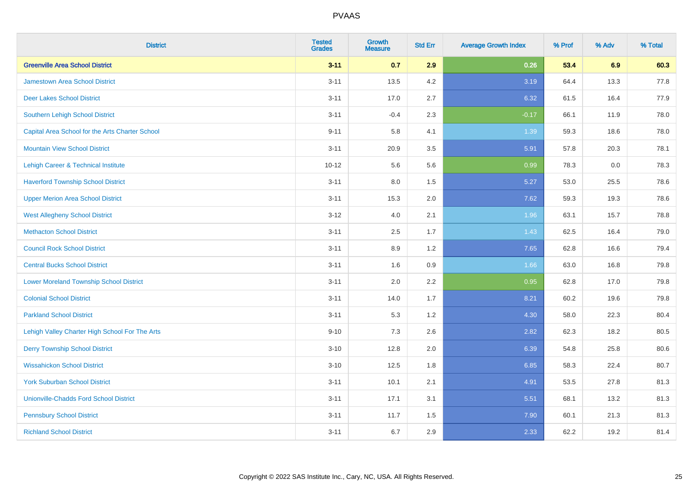| <b>District</b>                                 | <b>Tested</b><br><b>Grades</b> | <b>Growth</b><br><b>Measure</b> | <b>Std Err</b> | <b>Average Growth Index</b> | % Prof | % Adv | % Total |
|-------------------------------------------------|--------------------------------|---------------------------------|----------------|-----------------------------|--------|-------|---------|
| <b>Greenville Area School District</b>          | $3 - 11$                       | 0.7                             | 2.9            | 0.26                        | 53.4   | 6.9   | 60.3    |
| <b>Jamestown Area School District</b>           | $3 - 11$                       | 13.5                            | 4.2            | 3.19                        | 64.4   | 13.3  | 77.8    |
| <b>Deer Lakes School District</b>               | $3 - 11$                       | 17.0                            | 2.7            | 6.32                        | 61.5   | 16.4  | 77.9    |
| Southern Lehigh School District                 | $3 - 11$                       | $-0.4$                          | 2.3            | $-0.17$                     | 66.1   | 11.9  | 78.0    |
| Capital Area School for the Arts Charter School | $9 - 11$                       | 5.8                             | 4.1            | 1.39                        | 59.3   | 18.6  | 78.0    |
| <b>Mountain View School District</b>            | $3 - 11$                       | 20.9                            | 3.5            | 5.91                        | 57.8   | 20.3  | 78.1    |
| Lehigh Career & Technical Institute             | $10 - 12$                      | 5.6                             | 5.6            | 0.99                        | 78.3   | 0.0   | 78.3    |
| <b>Haverford Township School District</b>       | $3 - 11$                       | 8.0                             | 1.5            | 5.27                        | 53.0   | 25.5  | 78.6    |
| <b>Upper Merion Area School District</b>        | $3 - 11$                       | 15.3                            | 2.0            | 7.62                        | 59.3   | 19.3  | 78.6    |
| <b>West Allegheny School District</b>           | $3 - 12$                       | 4.0                             | 2.1            | 1.96                        | 63.1   | 15.7  | 78.8    |
| <b>Methacton School District</b>                | $3 - 11$                       | 2.5                             | 1.7            | 1.43                        | 62.5   | 16.4  | 79.0    |
| <b>Council Rock School District</b>             | $3 - 11$                       | 8.9                             | 1.2            | 7.65                        | 62.8   | 16.6  | 79.4    |
| <b>Central Bucks School District</b>            | $3 - 11$                       | 1.6                             | 0.9            | 1.66                        | 63.0   | 16.8  | 79.8    |
| <b>Lower Moreland Township School District</b>  | $3 - 11$                       | 2.0                             | 2.2            | 0.95                        | 62.8   | 17.0  | 79.8    |
| <b>Colonial School District</b>                 | $3 - 11$                       | 14.0                            | 1.7            | 8.21                        | 60.2   | 19.6  | 79.8    |
| <b>Parkland School District</b>                 | $3 - 11$                       | 5.3                             | 1.2            | 4.30                        | 58.0   | 22.3  | 80.4    |
| Lehigh Valley Charter High School For The Arts  | $9 - 10$                       | 7.3                             | 2.6            | 2.82                        | 62.3   | 18.2  | 80.5    |
| <b>Derry Township School District</b>           | $3 - 10$                       | 12.8                            | 2.0            | 6.39                        | 54.8   | 25.8  | 80.6    |
| <b>Wissahickon School District</b>              | $3 - 10$                       | 12.5                            | 1.8            | 6.85                        | 58.3   | 22.4  | 80.7    |
| <b>York Suburban School District</b>            | $3 - 11$                       | 10.1                            | 2.1            | 4.91                        | 53.5   | 27.8  | 81.3    |
| <b>Unionville-Chadds Ford School District</b>   | $3 - 11$                       | 17.1                            | 3.1            | 5.51                        | 68.1   | 13.2  | 81.3    |
| <b>Pennsbury School District</b>                | $3 - 11$                       | 11.7                            | 1.5            | 7.90                        | 60.1   | 21.3  | 81.3    |
| <b>Richland School District</b>                 | $3 - 11$                       | 6.7                             | 2.9            | 2.33                        | 62.2   | 19.2  | 81.4    |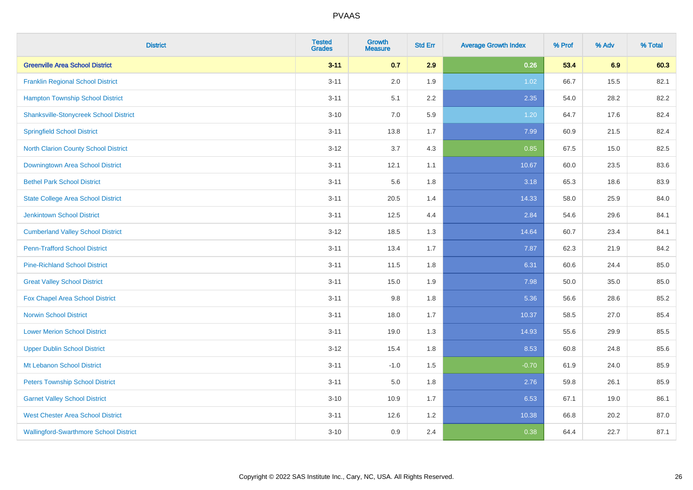| <b>District</b>                               | <b>Tested</b><br><b>Grades</b> | <b>Growth</b><br><b>Measure</b> | <b>Std Err</b> | <b>Average Growth Index</b> | % Prof | % Adv | % Total |
|-----------------------------------------------|--------------------------------|---------------------------------|----------------|-----------------------------|--------|-------|---------|
| <b>Greenville Area School District</b>        | $3 - 11$                       | 0.7                             | 2.9            | 0.26                        | 53.4   | 6.9   | 60.3    |
| <b>Franklin Regional School District</b>      | $3 - 11$                       | 2.0                             | 1.9            | 1.02                        | 66.7   | 15.5  | 82.1    |
| <b>Hampton Township School District</b>       | $3 - 11$                       | 5.1                             | 2.2            | 2.35                        | 54.0   | 28.2  | 82.2    |
| <b>Shanksville-Stonycreek School District</b> | $3 - 10$                       | 7.0                             | 5.9            | 1.20                        | 64.7   | 17.6  | 82.4    |
| <b>Springfield School District</b>            | $3 - 11$                       | 13.8                            | 1.7            | 7.99                        | 60.9   | 21.5  | 82.4    |
| North Clarion County School District          | $3 - 12$                       | 3.7                             | 4.3            | 0.85                        | 67.5   | 15.0  | 82.5    |
| Downingtown Area School District              | $3 - 11$                       | 12.1                            | 1.1            | 10.67                       | 60.0   | 23.5  | 83.6    |
| <b>Bethel Park School District</b>            | $3 - 11$                       | 5.6                             | 1.8            | 3.18                        | 65.3   | 18.6  | 83.9    |
| <b>State College Area School District</b>     | $3 - 11$                       | 20.5                            | 1.4            | 14.33                       | 58.0   | 25.9  | 84.0    |
| <b>Jenkintown School District</b>             | $3 - 11$                       | 12.5                            | 4.4            | 2.84                        | 54.6   | 29.6  | 84.1    |
| <b>Cumberland Valley School District</b>      | $3 - 12$                       | 18.5                            | 1.3            | 14.64                       | 60.7   | 23.4  | 84.1    |
| <b>Penn-Trafford School District</b>          | $3 - 11$                       | 13.4                            | 1.7            | 7.87                        | 62.3   | 21.9  | 84.2    |
| <b>Pine-Richland School District</b>          | $3 - 11$                       | 11.5                            | 1.8            | 6.31                        | 60.6   | 24.4  | 85.0    |
| <b>Great Valley School District</b>           | $3 - 11$                       | 15.0                            | 1.9            | 7.98                        | 50.0   | 35.0  | 85.0    |
| Fox Chapel Area School District               | $3 - 11$                       | 9.8                             | 1.8            | 5.36                        | 56.6   | 28.6  | 85.2    |
| <b>Norwin School District</b>                 | $3 - 11$                       | 18.0                            | 1.7            | 10.37                       | 58.5   | 27.0  | 85.4    |
| <b>Lower Merion School District</b>           | $3 - 11$                       | 19.0                            | 1.3            | 14.93                       | 55.6   | 29.9  | 85.5    |
| <b>Upper Dublin School District</b>           | $3 - 12$                       | 15.4                            | 1.8            | 8.53                        | 60.8   | 24.8  | 85.6    |
| Mt Lebanon School District                    | $3 - 11$                       | $-1.0$                          | 1.5            | $-0.70$                     | 61.9   | 24.0  | 85.9    |
| <b>Peters Township School District</b>        | $3 - 11$                       | 5.0                             | 1.8            | 2.76                        | 59.8   | 26.1  | 85.9    |
| <b>Garnet Valley School District</b>          | $3 - 10$                       | 10.9                            | 1.7            | 6.53                        | 67.1   | 19.0  | 86.1    |
| <b>West Chester Area School District</b>      | $3 - 11$                       | 12.6                            | 1.2            | 10.38                       | 66.8   | 20.2  | 87.0    |
| <b>Wallingford-Swarthmore School District</b> | $3 - 10$                       | 0.9                             | 2.4            | 0.38                        | 64.4   | 22.7  | 87.1    |